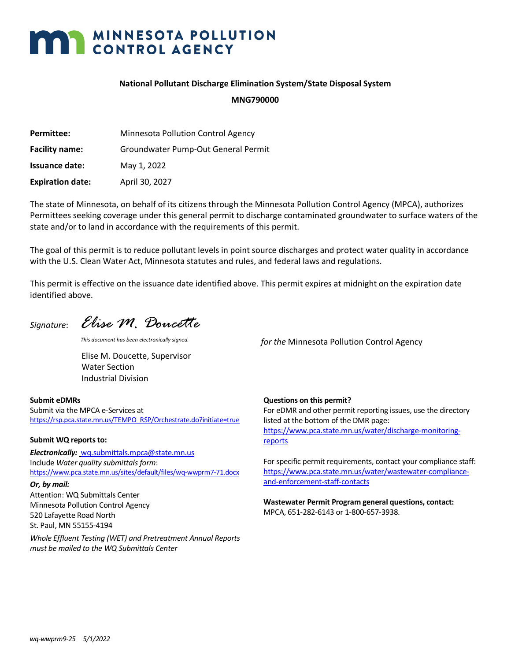# **MINNESOTA POLLUTION**

#### **National Pollutant Discharge Elimination System/State Disposal System**

#### **MNG790000**

| Permittee:              | <b>Minnesota Pollution Control Agency</b> |
|-------------------------|-------------------------------------------|
| <b>Facility name:</b>   | Groundwater Pump-Out General Permit       |
| <b>Issuance date:</b>   | May 1, 2022                               |
| <b>Expiration date:</b> | April 30, 2027                            |

The state of Minnesota, on behalf of its citizens through the Minnesota Pollution Control Agency (MPCA), authorizes Permittees seeking coverage under this general permit to discharge contaminated groundwater to surface waters of the state and/or to land in accordance with the requirements of this permit.

The goal of this permit is to reduce pollutant levels in point source discharges and protect water quality in accordance with the U.S. Clean Water Act, Minnesota statutes and rules, and federal laws and regulations.

This permit is effective on the issuance date identified above. This permit expires at midnight on the expiration date identified above.

*Signature*: *Elise M. Doucette*

Elise M. Doucette, Supervisor Water Section Industrial Division

#### **Submit eDMRs**

Submit via the MPCA e-Services at [https://rsp.pca.state.mn.us/TEMPO\\_RSP/Orchestrate.do?initiate=true](https://rsp.pca.state.mn.us/TEMPO_RSP/Orchestrate.do?initiate=true)

#### **Submit WQ reports to:**

*Electronically:* [wq.submittals.mpca@state.mn.us](mailto:wq.submittals.mpca@state.mn.us) Include *Water quality submittals form*: <https://www.pca.state.mn.us/sites/default/files/wq-wwprm7-71.docx>

#### *Or, by mail:*

Attention: WQ Submittals Center Minnesota Pollution Control Agency 520 Lafayette Road North St. Paul, MN 55155-4194

*Whole Effluent Testing (WET) and Pretreatment Annual Reports must be mailed to the WQ Submittals Center*

*This document has been electronically signed. for the* Minnesota Pollution Control Agency

**Questions on this permit?** For eDMR and other permit reporting issues, use the directory listed at the bottom of the DMR page: [https://www.pca.state.mn.us/water/discharge-monitoring](https://www.pca.state.mn.us/water/discharge-monitoring-reports)[reports](https://www.pca.state.mn.us/water/discharge-monitoring-reports)

For specific permit requirements, contact your compliance staff: [https://www.pca.state.mn.us/water/wastewater-compliance](https://www.pca.state.mn.us/water/wastewater-compliance-and-enforcement-staff-contacts)[and-enforcement-staff-contacts](https://www.pca.state.mn.us/water/wastewater-compliance-and-enforcement-staff-contacts)

**Wastewater Permit Program general questions, contact:** MPCA, 651-282-6143 or 1-800-657-3938.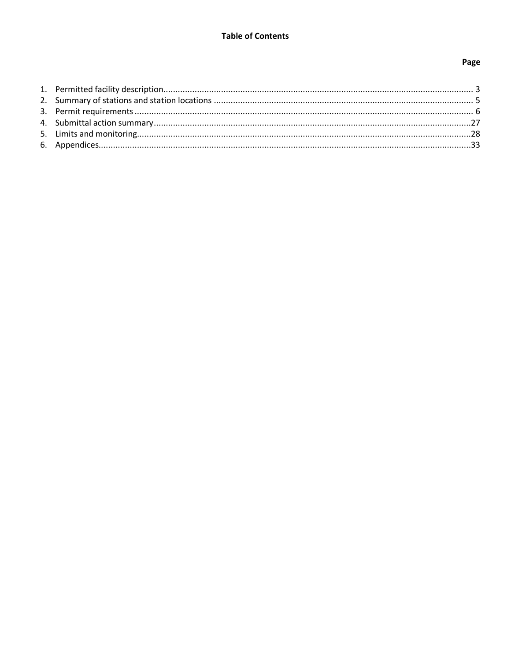## Page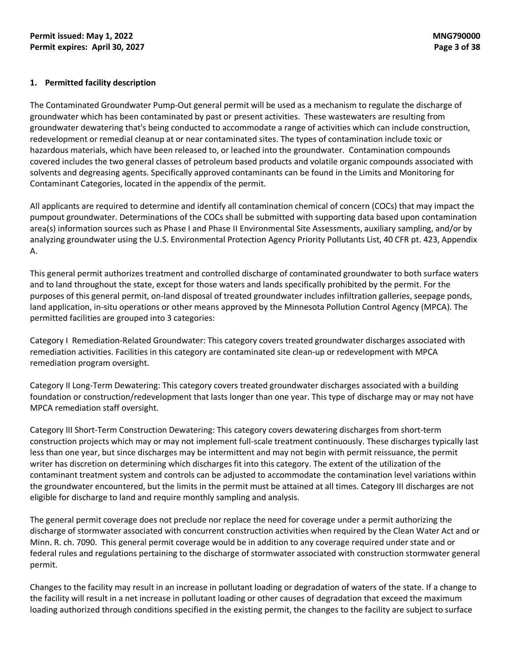#### <span id="page-2-0"></span>**1. Permitted facility description**

The Contaminated Groundwater Pump-Out general permit will be used as a mechanism to regulate the discharge of groundwater which has been contaminated by past or present activities. These wastewaters are resulting from groundwater dewatering that's being conducted to accommodate a range of activities which can include construction, redevelopment or remedial cleanup at or near contaminated sites. The types of contamination include toxic or hazardous materials, which have been released to, or leached into the groundwater. Contamination compounds covered includes the two general classes of petroleum based products and volatile organic compounds associated with solvents and degreasing agents. Specifically approved contaminants can be found in the Limits and Monitoring for Contaminant Categories, located in the appendix of the permit.

All applicants are required to determine and identify all contamination chemical of concern (COCs) that may impact the pumpout groundwater. Determinations of the COCs shall be submitted with supporting data based upon contamination area(s) information sources such as Phase I and Phase II Environmental Site Assessments, auxiliary sampling, and/or by analyzing groundwater using the U.S. Environmental Protection Agency Priority Pollutants List, 40 CFR pt. 423, Appendix A.

This general permit authorizes treatment and controlled discharge of contaminated groundwater to both surface waters and to land throughout the state, except for those waters and lands specifically prohibited by the permit. For the purposes of this general permit, on-land disposal of treated groundwater includes infiltration galleries, seepage ponds, land application, in-situ operations or other means approved by the Minnesota Pollution Control Agency (MPCA). The permitted facilities are grouped into 3 categories:

Category I Remediation-Related Groundwater: This category covers treated groundwater discharges associated with remediation activities. Facilities in this category are contaminated site clean-up or redevelopment with MPCA remediation program oversight.

Category II Long-Term Dewatering: This category covers treated groundwater discharges associated with a building foundation or construction/redevelopment that lasts longer than one year. This type of discharge may or may not have MPCA remediation staff oversight.

Category III Short-Term Construction Dewatering: This category covers dewatering discharges from short-term construction projects which may or may not implement full-scale treatment continuously. These discharges typically last less than one year, but since discharges may be intermittent and may not begin with permit reissuance, the permit writer has discretion on determining which discharges fit into this category. The extent of the utilization of the contaminant treatment system and controls can be adjusted to accommodate the contamination level variations within the groundwater encountered, but the limits in the permit must be attained at all times. Category III discharges are not eligible for discharge to land and require monthly sampling and analysis.

The general permit coverage does not preclude nor replace the need for coverage under a permit authorizing the discharge of stormwater associated with concurrent construction activities when required by the Clean Water Act and or Minn. R. ch. 7090. This general permit coverage would be in addition to any coverage required under state and or federal rules and regulations pertaining to the discharge of stormwater associated with construction stormwater general permit.

Changes to the facility may result in an increase in pollutant loading or degradation of waters of the state. If a change to the facility will result in a net increase in pollutant loading or other causes of degradation that exceed the maximum loading authorized through conditions specified in the existing permit, the changes to the facility are subject to surface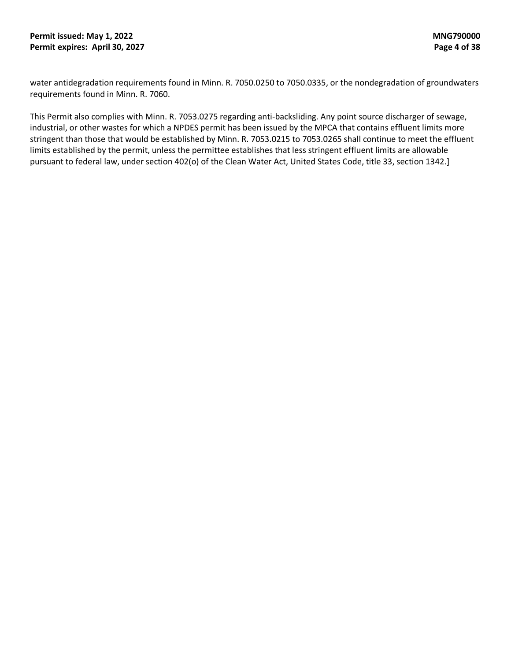water antidegradation requirements found in Minn. R. 7050.0250 to 7050.0335, or the nondegradation of groundwaters requirements found in Minn. R. 7060.

This Permit also complies with Minn. R. 7053.0275 regarding anti-backsliding. Any point source discharger of sewage, industrial, or other wastes for which a NPDES permit has been issued by the MPCA that contains effluent limits more stringent than those that would be established by Minn. R. 7053.0215 to 7053.0265 shall continue to meet the effluent limits established by the permit, unless the permittee establishes that less stringent effluent limits are allowable pursuant to federal law, under section 402(o) of the Clean Water Act, United States Code, title 33, section 1342.]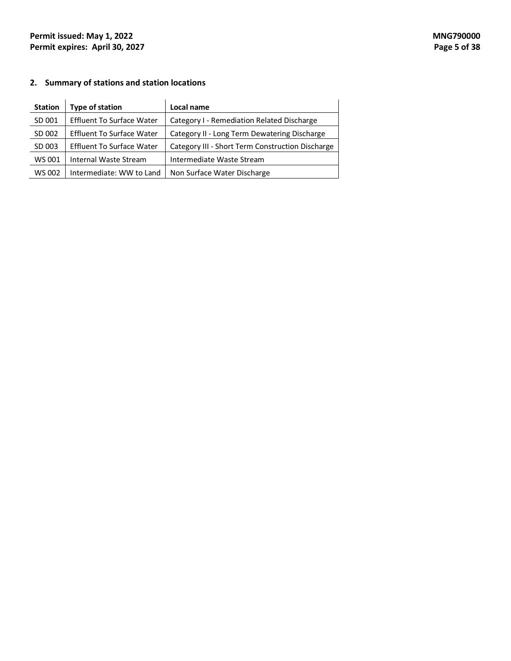# <span id="page-4-0"></span>**2. Summary of stations and station locations**

| <b>Station</b> | <b>Type of station</b>           | Local name                                       |
|----------------|----------------------------------|--------------------------------------------------|
| SD 001         | <b>Effluent To Surface Water</b> | Category I - Remediation Related Discharge       |
| SD 002         | <b>Effluent To Surface Water</b> | Category II - Long Term Dewatering Discharge     |
| SD 003         | <b>Effluent To Surface Water</b> | Category III - Short Term Construction Discharge |
| WS 001         | Internal Waste Stream            | Intermediate Waste Stream                        |
| WS 002         | Intermediate: WW to Land         | Non Surface Water Discharge                      |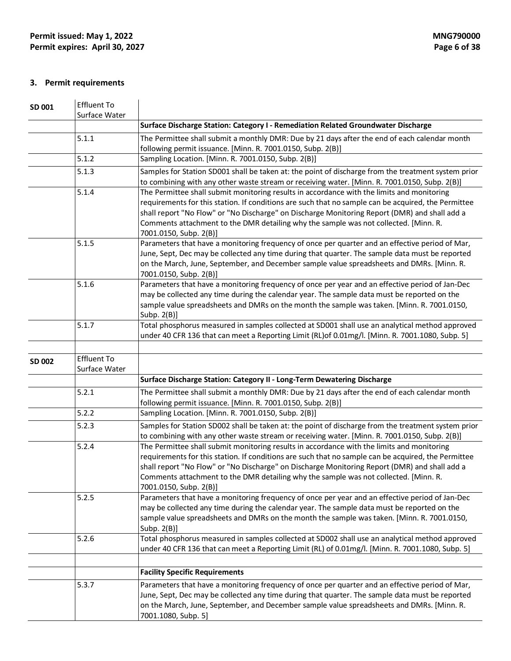## <span id="page-5-0"></span>**3. Permit requirements**

| SD 001 | <b>Effluent To</b><br>Surface Water |                                                                                                                                                                                                                                                                                                                                                                                                                      |
|--------|-------------------------------------|----------------------------------------------------------------------------------------------------------------------------------------------------------------------------------------------------------------------------------------------------------------------------------------------------------------------------------------------------------------------------------------------------------------------|
|        |                                     | Surface Discharge Station: Category I - Remediation Related Groundwater Discharge                                                                                                                                                                                                                                                                                                                                    |
|        | 5.1.1                               | The Permittee shall submit a monthly DMR: Due by 21 days after the end of each calendar month<br>following permit issuance. [Minn. R. 7001.0150, Subp. 2(B)]                                                                                                                                                                                                                                                         |
|        | 5.1.2                               | Sampling Location. [Minn. R. 7001.0150, Subp. 2(B)]                                                                                                                                                                                                                                                                                                                                                                  |
|        | 5.1.3                               | Samples for Station SD001 shall be taken at: the point of discharge from the treatment system prior<br>to combining with any other waste stream or receiving water. [Minn. R. 7001.0150, Subp. 2(B)]                                                                                                                                                                                                                 |
|        | 5.1.4                               | The Permittee shall submit monitoring results in accordance with the limits and monitoring<br>requirements for this station. If conditions are such that no sample can be acquired, the Permittee<br>shall report "No Flow" or "No Discharge" on Discharge Monitoring Report (DMR) and shall add a<br>Comments attachment to the DMR detailing why the sample was not collected. [Minn. R.<br>7001.0150, Subp. 2(B)] |
|        | 5.1.5                               | Parameters that have a monitoring frequency of once per quarter and an effective period of Mar,<br>June, Sept, Dec may be collected any time during that quarter. The sample data must be reported<br>on the March, June, September, and December sample value spreadsheets and DMRs. [Minn. R.<br>7001.0150, Subp. 2(B)]                                                                                            |
|        | 5.1.6                               | Parameters that have a monitoring frequency of once per year and an effective period of Jan-Dec<br>may be collected any time during the calendar year. The sample data must be reported on the<br>sample value spreadsheets and DMRs on the month the sample was taken. [Minn. R. 7001.0150,<br>Subp. 2(B)]                                                                                                          |
|        | 5.1.7                               | Total phosphorus measured in samples collected at SD001 shall use an analytical method approved<br>under 40 CFR 136 that can meet a Reporting Limit (RL)of 0.01mg/l. [Minn. R. 7001.1080, Subp. 5]                                                                                                                                                                                                                   |
| SD 002 | <b>Effluent To</b><br>Surface Water |                                                                                                                                                                                                                                                                                                                                                                                                                      |
|        |                                     | Surface Discharge Station: Category II - Long-Term Dewatering Discharge                                                                                                                                                                                                                                                                                                                                              |
|        | 5.2.1                               | The Permittee shall submit a monthly DMR: Due by 21 days after the end of each calendar month<br>following permit issuance. [Minn. R. 7001.0150, Subp. 2(B)]                                                                                                                                                                                                                                                         |
|        | 5.2.2                               | Sampling Location. [Minn. R. 7001.0150, Subp. 2(B)]                                                                                                                                                                                                                                                                                                                                                                  |
|        | 5.2.3                               | Samples for Station SD002 shall be taken at: the point of discharge from the treatment system prior<br>to combining with any other waste stream or receiving water. [Minn. R. 7001.0150, Subp. 2(B)]                                                                                                                                                                                                                 |
|        | 5.2.4                               | The Permittee shall submit monitoring results in accordance with the limits and monitoring<br>requirements for this station. If conditions are such that no sample can be acquired, the Permittee<br>shall report "No Flow" or "No Discharge" on Discharge Monitoring Report (DMR) and shall add a<br>Comments attachment to the DMR detailing why the sample was not collected. [Minn. R.<br>7001.0150, Subp. 2(B)] |
|        | 5.2.5                               | Parameters that have a monitoring frequency of once per year and an effective period of Jan-Dec<br>may be collected any time during the calendar year. The sample data must be reported on the<br>sample value spreadsheets and DMRs on the month the sample was taken. [Minn. R. 7001.0150,<br>Subp. 2(B)]                                                                                                          |
|        | 5.2.6                               | Total phosphorus measured in samples collected at SD002 shall use an analytical method approved<br>under 40 CFR 136 that can meet a Reporting Limit (RL) of 0.01mg/l. [Minn. R. 7001.1080, Subp. 5]                                                                                                                                                                                                                  |
|        |                                     | <b>Facility Specific Requirements</b>                                                                                                                                                                                                                                                                                                                                                                                |
|        | 5.3.7                               | Parameters that have a monitoring frequency of once per quarter and an effective period of Mar,<br>June, Sept, Dec may be collected any time during that quarter. The sample data must be reported<br>on the March, June, September, and December sample value spreadsheets and DMRs. [Minn. R.<br>7001.1080, Subp. 5]                                                                                               |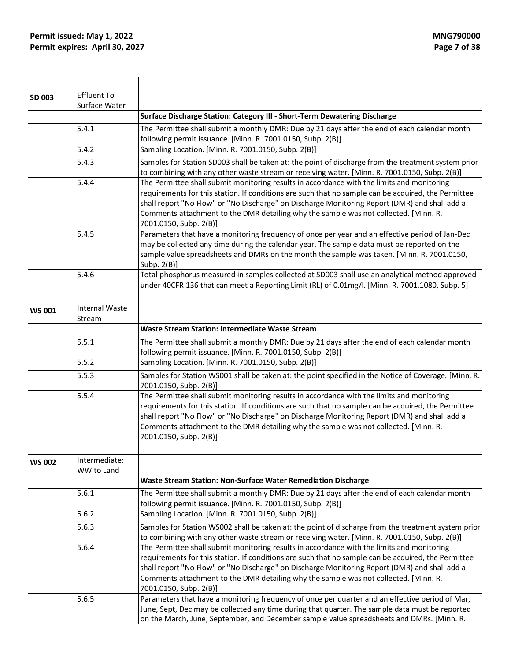| SD 003        | <b>Effluent To</b><br>Surface Water |                                                                                                                                                                                                                                                                                                                                                                                                                      |
|---------------|-------------------------------------|----------------------------------------------------------------------------------------------------------------------------------------------------------------------------------------------------------------------------------------------------------------------------------------------------------------------------------------------------------------------------------------------------------------------|
|               |                                     | Surface Discharge Station: Category III - Short-Term Dewatering Discharge                                                                                                                                                                                                                                                                                                                                            |
|               | 5.4.1                               | The Permittee shall submit a monthly DMR: Due by 21 days after the end of each calendar month<br>following permit issuance. [Minn. R. 7001.0150, Subp. 2(B)]                                                                                                                                                                                                                                                         |
|               | 5.4.2                               | Sampling Location. [Minn. R. 7001.0150, Subp. 2(B)]                                                                                                                                                                                                                                                                                                                                                                  |
|               | 5.4.3                               | Samples for Station SD003 shall be taken at: the point of discharge from the treatment system prior<br>to combining with any other waste stream or receiving water. [Minn. R. 7001.0150, Subp. 2(B)]                                                                                                                                                                                                                 |
|               | 5.4.4                               | The Permittee shall submit monitoring results in accordance with the limits and monitoring<br>requirements for this station. If conditions are such that no sample can be acquired, the Permittee<br>shall report "No Flow" or "No Discharge" on Discharge Monitoring Report (DMR) and shall add a<br>Comments attachment to the DMR detailing why the sample was not collected. [Minn. R.<br>7001.0150, Subp. 2(B)] |
|               | 5.4.5                               | Parameters that have a monitoring frequency of once per year and an effective period of Jan-Dec<br>may be collected any time during the calendar year. The sample data must be reported on the<br>sample value spreadsheets and DMRs on the month the sample was taken. [Minn. R. 7001.0150,<br>Subp. $2(B)$ ]                                                                                                       |
|               | 5.4.6                               | Total phosphorus measured in samples collected at SD003 shall use an analytical method approved<br>under 40CFR 136 that can meet a Reporting Limit (RL) of 0.01mg/l. [Minn. R. 7001.1080, Subp. 5]                                                                                                                                                                                                                   |
| <b>WS 001</b> | <b>Internal Waste</b><br>Stream     |                                                                                                                                                                                                                                                                                                                                                                                                                      |
|               |                                     | <b>Waste Stream Station: Intermediate Waste Stream</b>                                                                                                                                                                                                                                                                                                                                                               |
|               | 5.5.1                               | The Permittee shall submit a monthly DMR: Due by 21 days after the end of each calendar month<br>following permit issuance. [Minn. R. 7001.0150, Subp. 2(B)]                                                                                                                                                                                                                                                         |
|               | 5.5.2                               | Sampling Location. [Minn. R. 7001.0150, Subp. 2(B)]                                                                                                                                                                                                                                                                                                                                                                  |
|               | 5.5.3                               | Samples for Station WS001 shall be taken at: the point specified in the Notice of Coverage. [Minn. R.<br>7001.0150, Subp. 2(B)]                                                                                                                                                                                                                                                                                      |
|               | 5.5.4                               | The Permittee shall submit monitoring results in accordance with the limits and monitoring<br>requirements for this station. If conditions are such that no sample can be acquired, the Permittee<br>shall report "No Flow" or "No Discharge" on Discharge Monitoring Report (DMR) and shall add a<br>Comments attachment to the DMR detailing why the sample was not collected. [Minn. R.<br>7001.0150, Subp. 2(B)] |
| <b>WS 002</b> | Intermediate:<br>WW to Land         |                                                                                                                                                                                                                                                                                                                                                                                                                      |
|               |                                     | Waste Stream Station: Non-Surface Water Remediation Discharge                                                                                                                                                                                                                                                                                                                                                        |
|               | 5.6.1                               | The Permittee shall submit a monthly DMR: Due by 21 days after the end of each calendar month<br>following permit issuance. [Minn. R. 7001.0150, Subp. 2(B)]                                                                                                                                                                                                                                                         |
|               | 5.6.2                               | Sampling Location. [Minn. R. 7001.0150, Subp. 2(B)]                                                                                                                                                                                                                                                                                                                                                                  |
|               | 5.6.3                               | Samples for Station WS002 shall be taken at: the point of discharge from the treatment system prior<br>to combining with any other waste stream or receiving water. [Minn. R. 7001.0150, Subp. 2(B)]                                                                                                                                                                                                                 |
|               | 5.6.4                               | The Permittee shall submit monitoring results in accordance with the limits and monitoring<br>requirements for this station. If conditions are such that no sample can be acquired, the Permittee<br>shall report "No Flow" or "No Discharge" on Discharge Monitoring Report (DMR) and shall add a<br>Comments attachment to the DMR detailing why the sample was not collected. [Minn. R.<br>7001.0150, Subp. 2(B)] |
|               | 5.6.5                               | Parameters that have a monitoring frequency of once per quarter and an effective period of Mar,<br>June, Sept, Dec may be collected any time during that quarter. The sample data must be reported<br>on the March, June, September, and December sample value spreadsheets and DMRs. [Minn. R.                                                                                                                      |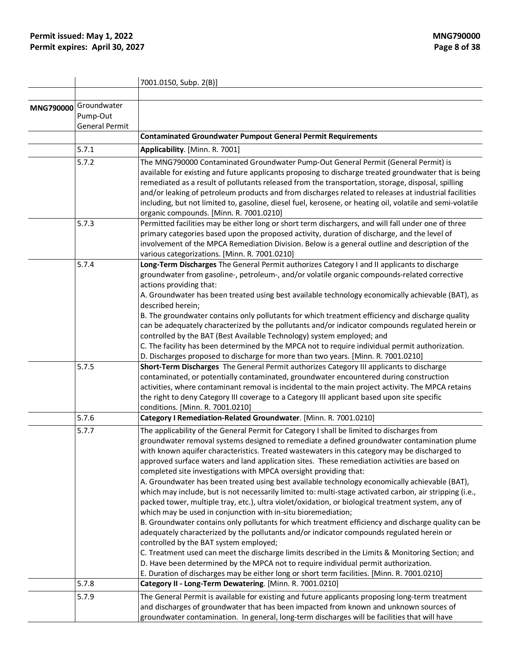|           |                       | 7001.0150, Subp. 2(B)]                                                                                                                                                                                                                                                                                                                                               |
|-----------|-----------------------|----------------------------------------------------------------------------------------------------------------------------------------------------------------------------------------------------------------------------------------------------------------------------------------------------------------------------------------------------------------------|
|           |                       |                                                                                                                                                                                                                                                                                                                                                                      |
| MNG790000 | Groundwater           |                                                                                                                                                                                                                                                                                                                                                                      |
|           | Pump-Out              |                                                                                                                                                                                                                                                                                                                                                                      |
|           | <b>General Permit</b> |                                                                                                                                                                                                                                                                                                                                                                      |
|           |                       | <b>Contaminated Groundwater Pumpout General Permit Requirements</b>                                                                                                                                                                                                                                                                                                  |
|           | 5.7.1                 | Applicability. [Minn. R. 7001]                                                                                                                                                                                                                                                                                                                                       |
|           | 5.7.2                 | The MNG790000 Contaminated Groundwater Pump-Out General Permit (General Permit) is<br>available for existing and future applicants proposing to discharge treated groundwater that is being                                                                                                                                                                          |
|           |                       | remediated as a result of pollutants released from the transportation, storage, disposal, spilling<br>and/or leaking of petroleum products and from discharges related to releases at industrial facilities<br>including, but not limited to, gasoline, diesel fuel, kerosene, or heating oil, volatile and semi-volatile<br>organic compounds. [Minn. R. 7001.0210] |
|           | 5.7.3                 | Permitted facilities may be either long or short term dischargers, and will fall under one of three                                                                                                                                                                                                                                                                  |
|           |                       | primary categories based upon the proposed activity, duration of discharge, and the level of<br>involvement of the MPCA Remediation Division. Below is a general outline and description of the<br>various categorizations. [Minn. R. 7001.0210]                                                                                                                     |
|           | 5.7.4                 | Long-Term Discharges The General Permit authorizes Category I and II applicants to discharge<br>groundwater from gasoline-, petroleum-, and/or volatile organic compounds-related corrective<br>actions providing that:                                                                                                                                              |
|           |                       | A. Groundwater has been treated using best available technology economically achievable (BAT), as<br>described herein;                                                                                                                                                                                                                                               |
|           |                       | B. The groundwater contains only pollutants for which treatment efficiency and discharge quality<br>can be adequately characterized by the pollutants and/or indicator compounds regulated herein or                                                                                                                                                                 |
|           |                       | controlled by the BAT (Best Available Technology) system employed; and                                                                                                                                                                                                                                                                                               |
|           |                       | C. The facility has been determined by the MPCA not to require individual permit authorization.                                                                                                                                                                                                                                                                      |
|           | 5.7.5                 | D. Discharges proposed to discharge for more than two years. [Minn. R. 7001.0210]<br>Short-Term Discharges The General Permit authorizes Category III applicants to discharge                                                                                                                                                                                        |
|           |                       | contaminated, or potentially contaminated, groundwater encountered during construction<br>activities, where contaminant removal is incidental to the main project activity. The MPCA retains<br>the right to deny Category III coverage to a Category III applicant based upon site specific                                                                         |
|           |                       | conditions. [Minn. R. 7001.0210]                                                                                                                                                                                                                                                                                                                                     |
|           | 5.7.6                 | Category I Remediation-Related Groundwater. [Minn. R. 7001.0210]                                                                                                                                                                                                                                                                                                     |
|           | 5.7.7                 | The applicability of the General Permit for Category I shall be limited to discharges from                                                                                                                                                                                                                                                                           |
|           |                       | groundwater removal systems designed to remediate a defined groundwater contamination plume<br>with known aquifer characteristics. Treated wastewaters in this category may be discharged to<br>approved surface waters and land application sites. These remediation activities are based on<br>completed site investigations with MPCA oversight providing that:   |
|           |                       | A. Groundwater has been treated using best available technology economically achievable (BAT),<br>which may include, but is not necessarily limited to: multi-stage activated carbon, air stripping (i.e.,<br>packed tower, multiple tray, etc.), ultra violet/oxidation, or biological treatment system, any of                                                     |
|           |                       | which may be used in conjunction with in-situ bioremediation;<br>B. Groundwater contains only pollutants for which treatment efficiency and discharge quality can be<br>adequately characterized by the pollutants and/or indicator compounds regulated herein or                                                                                                    |
|           |                       | controlled by the BAT system employed;<br>C. Treatment used can meet the discharge limits described in the Limits & Monitoring Section; and<br>D. Have been determined by the MPCA not to require individual permit authorization.                                                                                                                                   |
|           |                       | E. Duration of discharges may be either long or short term facilities. [Minn. R. 7001.0210]                                                                                                                                                                                                                                                                          |
|           | 5.7.8                 | Category II - Long-Term Dewatering. [Minn. R. 7001.0210]                                                                                                                                                                                                                                                                                                             |
|           | 5.7.9                 | The General Permit is available for existing and future applicants proposing long-term treatment<br>and discharges of groundwater that has been impacted from known and unknown sources of<br>groundwater contamination. In general, long-term discharges will be facilities that will have                                                                          |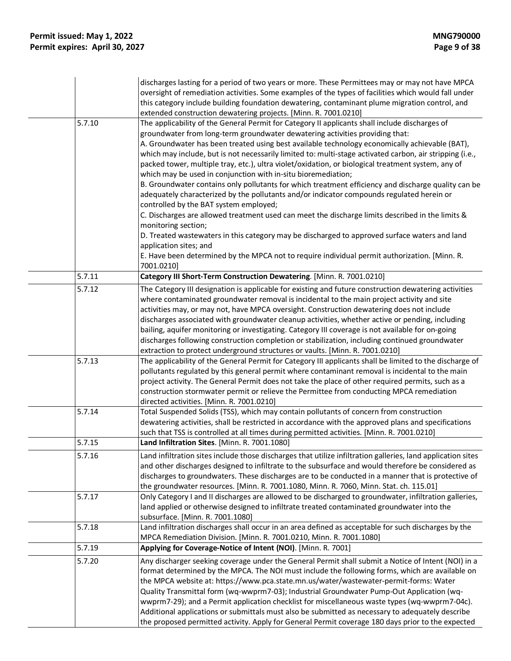|        | discharges lasting for a period of two years or more. These Permittees may or may not have MPCA<br>oversight of remediation activities. Some examples of the types of facilities which would fall under<br>this category include building foundation dewatering, contaminant plume migration control, and<br>extended construction dewatering projects. [Minn. R. 7001.0210]                                                                                                                                                                                                                                                                                                                           |
|--------|--------------------------------------------------------------------------------------------------------------------------------------------------------------------------------------------------------------------------------------------------------------------------------------------------------------------------------------------------------------------------------------------------------------------------------------------------------------------------------------------------------------------------------------------------------------------------------------------------------------------------------------------------------------------------------------------------------|
| 5.7.10 | The applicability of the General Permit for Category II applicants shall include discharges of<br>groundwater from long-term groundwater dewatering activities providing that:                                                                                                                                                                                                                                                                                                                                                                                                                                                                                                                         |
|        | A. Groundwater has been treated using best available technology economically achievable (BAT),<br>which may include, but is not necessarily limited to: multi-stage activated carbon, air stripping (i.e.,<br>packed tower, multiple tray, etc.), ultra violet/oxidation, or biological treatment system, any of<br>which may be used in conjunction with in-situ bioremediation;                                                                                                                                                                                                                                                                                                                      |
|        | B. Groundwater contains only pollutants for which treatment efficiency and discharge quality can be<br>adequately characterized by the pollutants and/or indicator compounds regulated herein or<br>controlled by the BAT system employed;                                                                                                                                                                                                                                                                                                                                                                                                                                                             |
|        | C. Discharges are allowed treatment used can meet the discharge limits described in the limits &<br>monitoring section;                                                                                                                                                                                                                                                                                                                                                                                                                                                                                                                                                                                |
|        | D. Treated wastewaters in this category may be discharged to approved surface waters and land<br>application sites; and                                                                                                                                                                                                                                                                                                                                                                                                                                                                                                                                                                                |
|        | E. Have been determined by the MPCA not to require individual permit authorization. [Minn. R.<br>7001.0210]                                                                                                                                                                                                                                                                                                                                                                                                                                                                                                                                                                                            |
| 5.7.11 | Category III Short-Term Construction Dewatering. [Minn. R. 7001.0210]                                                                                                                                                                                                                                                                                                                                                                                                                                                                                                                                                                                                                                  |
| 5.7.12 | The Category III designation is applicable for existing and future construction dewatering activities<br>where contaminated groundwater removal is incidental to the main project activity and site<br>activities may, or may not, have MPCA oversight. Construction dewatering does not include<br>discharges associated with groundwater cleanup activities, whether active or pending, including<br>bailing, aquifer monitoring or investigating. Category III coverage is not available for on-going<br>discharges following construction completion or stabilization, including continued groundwater                                                                                             |
| 5.7.13 | extraction to protect underground structures or vaults. [Minn. R. 7001.0210]<br>The applicability of the General Permit for Category III applicants shall be limited to the discharge of<br>pollutants regulated by this general permit where contaminant removal is incidental to the main<br>project activity. The General Permit does not take the place of other required permits, such as a<br>construction stormwater permit or relieve the Permittee from conducting MPCA remediation<br>directed activities. [Minn. R. 7001.0210]                                                                                                                                                              |
| 5.7.14 | Total Suspended Solids (TSS), which may contain pollutants of concern from construction<br>dewatering activities, shall be restricted in accordance with the approved plans and specifications<br>such that TSS is controlled at all times during permitted activities. [Minn. R. 7001.0210]                                                                                                                                                                                                                                                                                                                                                                                                           |
| 5.7.15 | Land Infiltration Sites. [Minn. R. 7001.1080]                                                                                                                                                                                                                                                                                                                                                                                                                                                                                                                                                                                                                                                          |
| 5.7.16 | Land infiltration sites include those discharges that utilize infiltration galleries, land application sites<br>and other discharges designed to infiltrate to the subsurface and would therefore be considered as<br>discharges to groundwaters. These discharges are to be conducted in a manner that is protective of<br>the groundwater resources. [Minn. R. 7001.1080, Minn. R. 7060, Minn. Stat. ch. 115.01]                                                                                                                                                                                                                                                                                     |
| 5.7.17 | Only Category I and II discharges are allowed to be discharged to groundwater, infiltration galleries,<br>land applied or otherwise designed to infiltrate treated contaminated groundwater into the<br>subsurface. [Minn. R. 7001.1080]                                                                                                                                                                                                                                                                                                                                                                                                                                                               |
| 5.7.18 | Land infiltration discharges shall occur in an area defined as acceptable for such discharges by the<br>MPCA Remediation Division. [Minn. R. 7001.0210, Minn. R. 7001.1080]                                                                                                                                                                                                                                                                                                                                                                                                                                                                                                                            |
| 5.7.19 | Applying for Coverage-Notice of Intent (NOI). [Minn. R. 7001]                                                                                                                                                                                                                                                                                                                                                                                                                                                                                                                                                                                                                                          |
| 5.7.20 | Any discharger seeking coverage under the General Permit shall submit a Notice of Intent (NOI) in a<br>format determined by the MPCA. The NOI must include the following forms, which are available on<br>the MPCA website at: https://www.pca.state.mn.us/water/wastewater-permit-forms: Water<br>Quality Transmittal form (wq-wwprm7-03); Industrial Groundwater Pump-Out Application (wq-<br>wwprm7-29); and a Permit application checklist for miscellaneous waste types (wq-wwprm7-04c).<br>Additional applications or submittals must also be submitted as necessary to adequately describe<br>the proposed permitted activity. Apply for General Permit coverage 180 days prior to the expected |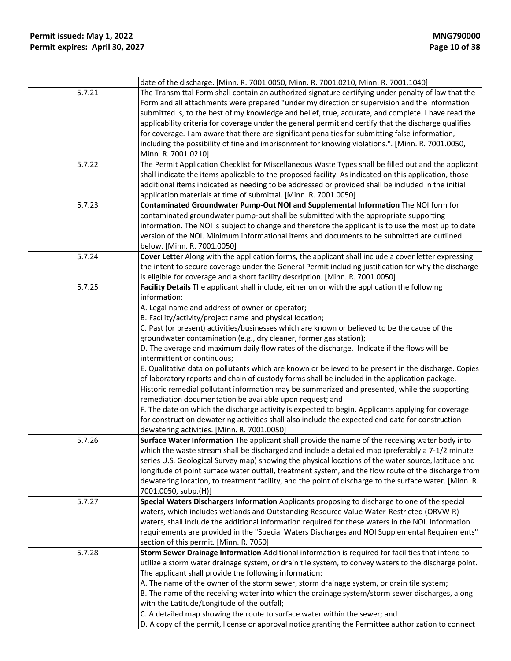|        | date of the discharge. [Minn. R. 7001.0050, Minn. R. 7001.0210, Minn. R. 7001.1040]                    |
|--------|--------------------------------------------------------------------------------------------------------|
| 5.7.21 | The Transmittal Form shall contain an authorized signature certifying under penalty of law that the    |
|        | Form and all attachments were prepared "under my direction or supervision and the information          |
|        | submitted is, to the best of my knowledge and belief, true, accurate, and complete. I have read the    |
|        | applicability criteria for coverage under the general permit and certify that the discharge qualifies  |
|        | for coverage. I am aware that there are significant penalties for submitting false information,        |
|        | including the possibility of fine and imprisonment for knowing violations.". [Minn. R. 7001.0050,      |
|        | Minn. R. 7001.0210]                                                                                    |
| 5.7.22 | The Permit Application Checklist for Miscellaneous Waste Types shall be filled out and the applicant   |
|        | shall indicate the items applicable to the proposed facility. As indicated on this application, those  |
|        | additional items indicated as needing to be addressed or provided shall be included in the initial     |
|        | application materials at time of submittal. [Minn. R. 7001.0050]                                       |
| 5.7.23 | Contaminated Groundwater Pump-Out NOI and Supplemental Information The NOI form for                    |
|        | contaminated groundwater pump-out shall be submitted with the appropriate supporting                   |
|        | information. The NOI is subject to change and therefore the applicant is to use the most up to date    |
|        | version of the NOI. Minimum informational items and documents to be submitted are outlined             |
|        |                                                                                                        |
|        | below. [Minn. R. 7001.0050]                                                                            |
| 5.7.24 | Cover Letter Along with the application forms, the applicant shall include a cover letter expressing   |
|        | the intent to secure coverage under the General Permit including justification for why the discharge   |
|        | is eligible for coverage and a short facility description. [Minn. R. 7001.0050]                        |
| 5.7.25 | Facility Details The applicant shall include, either on or with the application the following          |
|        | information:                                                                                           |
|        | A. Legal name and address of owner or operator;                                                        |
|        | B. Facility/activity/project name and physical location;                                               |
|        | C. Past (or present) activities/businesses which are known or believed to be the cause of the          |
|        | groundwater contamination (e.g., dry cleaner, former gas station);                                     |
|        | D. The average and maximum daily flow rates of the discharge. Indicate if the flows will be            |
|        | intermittent or continuous;                                                                            |
|        | E. Qualitative data on pollutants which are known or believed to be present in the discharge. Copies   |
|        | of laboratory reports and chain of custody forms shall be included in the application package.         |
|        | Historic remedial pollutant information may be summarized and presented, while the supporting          |
|        | remediation documentation be available upon request; and                                               |
|        | F. The date on which the discharge activity is expected to begin. Applicants applying for coverage     |
|        | for construction dewatering activities shall also include the expected end date for construction       |
|        | dewatering activities. [Minn. R. 7001.0050]                                                            |
| 5.7.26 | Surface Water Information The applicant shall provide the name of the receiving water body into        |
|        | which the waste stream shall be discharged and include a detailed map (preferably a 7-1/2 minute       |
|        | series U.S. Geological Survey map) showing the physical locations of the water source, latitude and    |
|        | longitude of point surface water outfall, treatment system, and the flow route of the discharge from   |
|        | dewatering location, to treatment facility, and the point of discharge to the surface water. [Minn. R. |
|        | 7001.0050, subp.(H)]                                                                                   |
| 5.7.27 | Special Waters Dischargers Information Applicants proposing to discharge to one of the special         |
|        | waters, which includes wetlands and Outstanding Resource Value Water-Restricted (ORVW-R)               |
|        | waters, shall include the additional information required for these waters in the NOI. Information     |
|        | requirements are provided in the "Special Waters Discharges and NOI Supplemental Requirements"         |
|        | section of this permit. [Minn. R. 7050]                                                                |
| 5.7.28 | Storm Sewer Drainage Information Additional information is required for facilities that intend to      |
|        | utilize a storm water drainage system, or drain tile system, to convey waters to the discharge point.  |
|        | The applicant shall provide the following information:                                                 |
|        | A. The name of the owner of the storm sewer, storm drainage system, or drain tile system;              |
|        | B. The name of the receiving water into which the drainage system/storm sewer discharges, along        |
|        | with the Latitude/Longitude of the outfall;                                                            |
|        | C. A detailed map showing the route to surface water within the sewer; and                             |
|        | D. A copy of the permit, license or approval notice granting the Permittee authorization to connect    |
|        |                                                                                                        |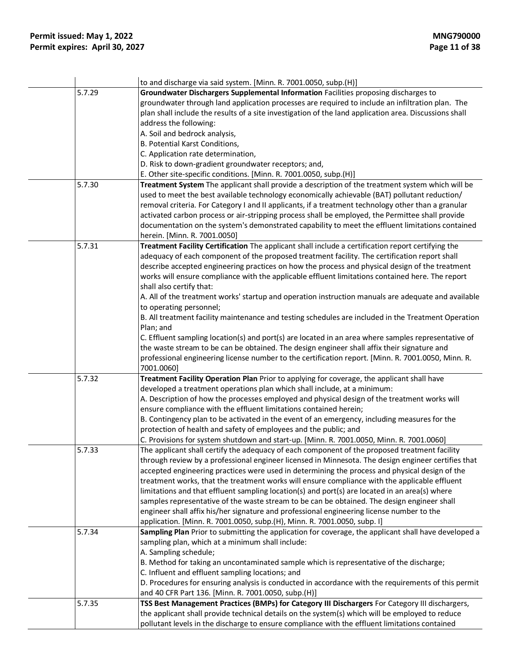|        | to and discharge via said system. [Minn. R. 7001.0050, subp.(H)]                                       |
|--------|--------------------------------------------------------------------------------------------------------|
| 5.7.29 | Groundwater Dischargers Supplemental Information Facilities proposing discharges to                    |
|        | groundwater through land application processes are required to include an infiltration plan. The       |
|        | plan shall include the results of a site investigation of the land application area. Discussions shall |
|        | address the following:                                                                                 |
|        | A. Soil and bedrock analysis,                                                                          |
|        | B. Potential Karst Conditions,                                                                         |
|        | C. Application rate determination,                                                                     |
|        | D. Risk to down-gradient groundwater receptors; and,                                                   |
|        | E. Other site-specific conditions. [Minn. R. 7001.0050, subp.(H)]                                      |
| 5.7.30 | Treatment System The applicant shall provide a description of the treatment system which will be       |
|        | used to meet the best available technology economically achievable (BAT) pollutant reduction/          |
|        | removal criteria. For Category I and II applicants, if a treatment technology other than a granular    |
|        | activated carbon process or air-stripping process shall be employed, the Permittee shall provide       |
|        | documentation on the system's demonstrated capability to meet the effluent limitations contained       |
|        | herein. [Minn. R. 7001.0050]                                                                           |
| 5.7.31 | Treatment Facility Certification The applicant shall include a certification report certifying the     |
|        | adequacy of each component of the proposed treatment facility. The certification report shall          |
|        | describe accepted engineering practices on how the process and physical design of the treatment        |
|        | works will ensure compliance with the applicable effluent limitations contained here. The report       |
|        | shall also certify that:                                                                               |
|        | A. All of the treatment works' startup and operation instruction manuals are adequate and available    |
|        | to operating personnel;                                                                                |
|        | B. All treatment facility maintenance and testing schedules are included in the Treatment Operation    |
|        | Plan; and                                                                                              |
|        | C. Effluent sampling location(s) and port(s) are located in an area where samples representative of    |
|        | the waste stream to be can be obtained. The design engineer shall affix their signature and            |
|        | professional engineering license number to the certification report. [Minn. R. 7001.0050, Minn. R.     |
|        | 7001.0060]                                                                                             |
| 5.7.32 | Treatment Facility Operation Plan Prior to applying for coverage, the applicant shall have             |
|        | developed a treatment operations plan which shall include, at a minimum:                               |
|        | A. Description of how the processes employed and physical design of the treatment works will           |
|        | ensure compliance with the effluent limitations contained herein;                                      |
|        | B. Contingency plan to be activated in the event of an emergency, including measures for the           |
|        | protection of health and safety of employees and the public; and                                       |
|        | C. Provisions for system shutdown and start-up. [Minn. R. 7001.0050, Minn. R. 7001.0060]               |
| 5.7.33 | The applicant shall certify the adequacy of each component of the proposed treatment facility          |
|        | through review by a professional engineer licensed in Minnesota. The design engineer certifies that    |
|        | accepted engineering practices were used in determining the process and physical design of the         |
|        | treatment works, that the treatment works will ensure compliance with the applicable effluent          |
|        | limitations and that effluent sampling location(s) and port(s) are located in an area(s) where         |
|        | samples representative of the waste stream to be can be obtained. The design engineer shall            |
|        | engineer shall affix his/her signature and professional engineering license number to the              |
|        | application. [Minn. R. 7001.0050, subp.(H), Minn. R. 7001.0050, subp. I]                               |
| 5.7.34 | Sampling Plan Prior to submitting the application for coverage, the applicant shall have developed a   |
|        | sampling plan, which at a minimum shall include:                                                       |
|        | A. Sampling schedule;                                                                                  |
|        | B. Method for taking an uncontaminated sample which is representative of the discharge;                |
|        | C. Influent and effluent sampling locations; and                                                       |
|        | D. Procedures for ensuring analysis is conducted in accordance with the requirements of this permit    |
|        | and 40 CFR Part 136. [Minn. R. 7001.0050, subp.(H)]                                                    |
| 5.7.35 | TSS Best Management Practices (BMPs) for Category III Dischargers For Category III dischargers,        |
|        | the applicant shall provide technical details on the system(s) which will be employed to reduce        |
|        | pollutant levels in the discharge to ensure compliance with the effluent limitations contained         |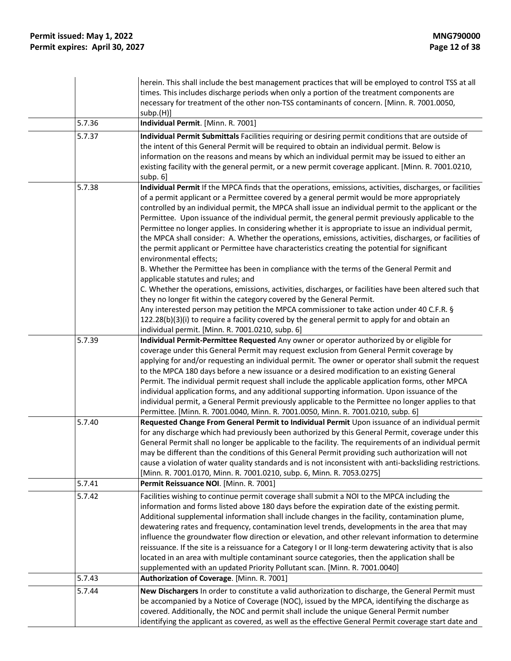|                  | herein. This shall include the best management practices that will be employed to control TSS at all<br>times. This includes discharge periods when only a portion of the treatment components are<br>necessary for treatment of the other non-TSS contaminants of concern. [Minn. R. 7001.0050,<br>subp.(H)]                                                                                                                                                                                                                                                                                                                                                                                                                                                                                                                                                                                                                                                                                                                                                                                                                                                                                                                                                                                                                                                                                                                                                                                                                              |
|------------------|--------------------------------------------------------------------------------------------------------------------------------------------------------------------------------------------------------------------------------------------------------------------------------------------------------------------------------------------------------------------------------------------------------------------------------------------------------------------------------------------------------------------------------------------------------------------------------------------------------------------------------------------------------------------------------------------------------------------------------------------------------------------------------------------------------------------------------------------------------------------------------------------------------------------------------------------------------------------------------------------------------------------------------------------------------------------------------------------------------------------------------------------------------------------------------------------------------------------------------------------------------------------------------------------------------------------------------------------------------------------------------------------------------------------------------------------------------------------------------------------------------------------------------------------|
| 5.7.36           | Individual Permit. [Minn. R. 7001]                                                                                                                                                                                                                                                                                                                                                                                                                                                                                                                                                                                                                                                                                                                                                                                                                                                                                                                                                                                                                                                                                                                                                                                                                                                                                                                                                                                                                                                                                                         |
| 5.7.37           | Individual Permit Submittals Facilities requiring or desiring permit conditions that are outside of<br>the intent of this General Permit will be required to obtain an individual permit. Below is<br>information on the reasons and means by which an individual permit may be issued to either an<br>existing facility with the general permit, or a new permit coverage applicant. [Minn. R. 7001.0210,<br>subp. 6]                                                                                                                                                                                                                                                                                                                                                                                                                                                                                                                                                                                                                                                                                                                                                                                                                                                                                                                                                                                                                                                                                                                     |
| 5.7.38<br>5.7.39 | Individual Permit If the MPCA finds that the operations, emissions, activities, discharges, or facilities<br>of a permit applicant or a Permittee covered by a general permit would be more appropriately<br>controlled by an individual permit, the MPCA shall issue an individual permit to the applicant or the<br>Permittee. Upon issuance of the individual permit, the general permit previously applicable to the<br>Permittee no longer applies. In considering whether it is appropriate to issue an individual permit,<br>the MPCA shall consider: A. Whether the operations, emissions, activities, discharges, or facilities of<br>the permit applicant or Permittee have characteristics creating the potential for significant<br>environmental effects;<br>B. Whether the Permittee has been in compliance with the terms of the General Permit and<br>applicable statutes and rules; and<br>C. Whether the operations, emissions, activities, discharges, or facilities have been altered such that<br>they no longer fit within the category covered by the General Permit.<br>Any interested person may petition the MPCA commissioner to take action under 40 C.F.R. §<br>$122.28(b)(3)(i)$ to require a facility covered by the general permit to apply for and obtain an<br>individual permit. [Minn. R. 7001.0210, subp. 6]<br>Individual Permit-Permittee Requested Any owner or operator authorized by or eligible for<br>coverage under this General Permit may request exclusion from General Permit coverage by |
|                  | applying for and/or requesting an individual permit. The owner or operator shall submit the request<br>to the MPCA 180 days before a new issuance or a desired modification to an existing General<br>Permit. The individual permit request shall include the applicable application forms, other MPCA<br>individual application forms, and any additional supporting information. Upon issuance of the<br>individual permit, a General Permit previously applicable to the Permittee no longer applies to that<br>Permittee. [Minn. R. 7001.0040, Minn. R. 7001.0050, Minn. R. 7001.0210, subp. 6]                                                                                                                                                                                                                                                                                                                                                                                                                                                                                                                                                                                                                                                                                                                                                                                                                                                                                                                                        |
| 5.7.40           | Requested Change From General Permit to Individual Permit Upon issuance of an individual permit<br>for any discharge which had previously been authorized by this General Permit, coverage under this<br>General Permit shall no longer be applicable to the facility. The requirements of an individual permit<br>may be different than the conditions of this General Permit providing such authorization will not<br>cause a violation of water quality standards and is not inconsistent with anti-backsliding restrictions.<br>[Minn. R. 7001.0170, Minn. R. 7001.0210, subp. 6, Minn. R. 7053.0275]                                                                                                                                                                                                                                                                                                                                                                                                                                                                                                                                                                                                                                                                                                                                                                                                                                                                                                                                  |
| 5.7.41           | Permit Reissuance NOI. [Minn. R. 7001]                                                                                                                                                                                                                                                                                                                                                                                                                                                                                                                                                                                                                                                                                                                                                                                                                                                                                                                                                                                                                                                                                                                                                                                                                                                                                                                                                                                                                                                                                                     |
| 5.7.42           | Facilities wishing to continue permit coverage shall submit a NOI to the MPCA including the<br>information and forms listed above 180 days before the expiration date of the existing permit.<br>Additional supplemental information shall include changes in the facility, contamination plume,<br>dewatering rates and frequency, contamination level trends, developments in the area that may<br>influence the groundwater flow direction or elevation, and other relevant information to determine<br>reissuance. If the site is a reissuance for a Category I or II long-term dewatering activity that is also<br>located in an area with multiple contaminant source categories, then the application shall be<br>supplemented with an updated Priority Pollutant scan. [Minn. R. 7001.0040]                                                                                                                                                                                                                                                                                                                                                                                                                                                                                                                                                                                                                                                                                                                                        |
| 5.7.43           | Authorization of Coverage. [Minn. R. 7001]                                                                                                                                                                                                                                                                                                                                                                                                                                                                                                                                                                                                                                                                                                                                                                                                                                                                                                                                                                                                                                                                                                                                                                                                                                                                                                                                                                                                                                                                                                 |
| 5.7.44           | New Dischargers In order to constitute a valid authorization to discharge, the General Permit must<br>be accompanied by a Notice of Coverage (NOC), issued by the MPCA, identifying the discharge as<br>covered. Additionally, the NOC and permit shall include the unique General Permit number<br>identifying the applicant as covered, as well as the effective General Permit coverage start date and                                                                                                                                                                                                                                                                                                                                                                                                                                                                                                                                                                                                                                                                                                                                                                                                                                                                                                                                                                                                                                                                                                                                  |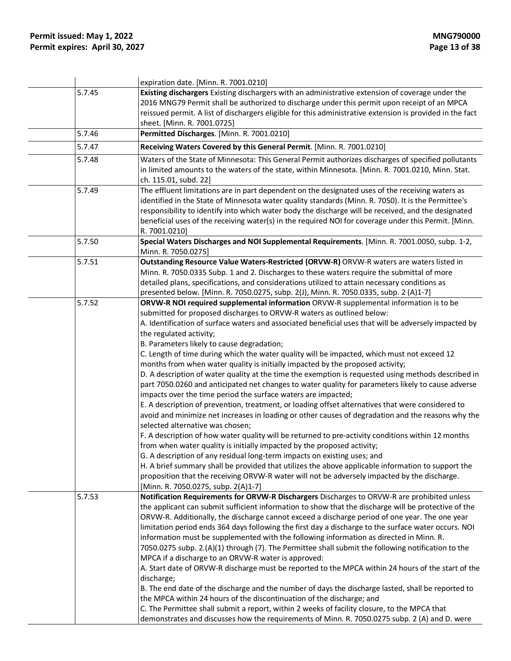|        | expiration date. [Minn. R. 7001.0210]                                                                     |
|--------|-----------------------------------------------------------------------------------------------------------|
| 5.7.45 | Existing dischargers Existing dischargers with an administrative extension of coverage under the          |
|        | 2016 MNG79 Permit shall be authorized to discharge under this permit upon receipt of an MPCA              |
|        | reissued permit. A list of dischargers eligible for this administrative extension is provided in the fact |
|        | sheet. [Minn. R. 7001.0725]                                                                               |
| 5.7.46 | Permitted Discharges. [Minn. R. 7001.0210]                                                                |
| 5.7.47 | Receiving Waters Covered by this General Permit. [Minn. R. 7001.0210]                                     |
| 5.7.48 | Waters of the State of Minnesota: This General Permit authorizes discharges of specified pollutants       |
|        | in limited amounts to the waters of the state, within Minnesota. [Minn. R. 7001.0210, Minn. Stat.         |
|        | ch. 115.01, subd. 22]                                                                                     |
| 5.7.49 | The effluent limitations are in part dependent on the designated uses of the receiving waters as          |
|        | identified in the State of Minnesota water quality standards (Minn. R. 7050). It is the Permittee's       |
|        | responsibility to identify into which water body the discharge will be received, and the designated       |
|        | beneficial uses of the receiving water(s) in the required NOI for coverage under this Permit. [Minn.      |
|        | R. 7001.0210]                                                                                             |
| 5.7.50 | Special Waters Discharges and NOI Supplemental Requirements. [Minn. R. 7001.0050, subp. 1-2,              |
|        | Minn. R. 7050.0275]                                                                                       |
| 5.7.51 | Outstanding Resource Value Waters-Restricted (ORVW-R) ORVW-R waters are waters listed in                  |
|        | Minn. R. 7050.0335 Subp. 1 and 2. Discharges to these waters require the submittal of more                |
|        | detailed plans, specifications, and considerations utilized to attain necessary conditions as             |
|        | presented below. [Minn. R. 7050.0275, subp. 2(J), Minn. R. 7050.0335, subp. 2 (A)1-7]                     |
| 5.7.52 | ORVW-R NOI required supplemental information ORVW-R supplemental information is to be                     |
|        | submitted for proposed discharges to ORVW-R waters as outlined below:                                     |
|        | A. Identification of surface waters and associated beneficial uses that will be adversely impacted by     |
|        | the regulated activity;                                                                                   |
|        | B. Parameters likely to cause degradation;                                                                |
|        | C. Length of time during which the water quality will be impacted, which must not exceed 12               |
|        | months from when water quality is initially impacted by the proposed activity;                            |
|        | D. A description of water quality at the time the exemption is requested using methods described in       |
|        | part 7050.0260 and anticipated net changes to water quality for parameters likely to cause adverse        |
|        | impacts over the time period the surface waters are impacted;                                             |
|        | E. A description of prevention, treatment, or loading offset alternatives that were considered to         |
|        | avoid and minimize net increases in loading or other causes of degradation and the reasons why the        |
|        | selected alternative was chosen;                                                                          |
|        | F. A description of how water quality will be returned to pre-activity conditions within 12 months        |
|        | from when water quality is initially impacted by the proposed activity;                                   |
|        | G. A description of any residual long-term impacts on existing uses; and                                  |
|        | H. A brief summary shall be provided that utilizes the above applicable information to support the        |
|        | proposition that the receiving ORVW-R water will not be adversely impacted by the discharge.              |
|        | [Minn. R. 7050.0275, subp. 2(A)1-7]                                                                       |
| 5.7.53 | Notification Requirements for ORVW-R Dischargers Discharges to ORVW-R are prohibited unless               |
|        | the applicant can submit sufficient information to show that the discharge will be protective of the      |
|        | ORVW-R. Additionally, the discharge cannot exceed a discharge period of one year. The one year            |
|        | limitation period ends 364 days following the first day a discharge to the surface water occurs. NOI      |
|        | information must be supplemented with the following information as directed in Minn. R.                   |
|        | 7050.0275 subp. 2.(A)(1) through (7). The Permittee shall submit the following notification to the        |
|        | MPCA if a discharge to an ORVW-R water is approved:                                                       |
|        | A. Start date of ORVW-R discharge must be reported to the MPCA within 24 hours of the start of the        |
|        | discharge;                                                                                                |
|        | B. The end date of the discharge and the number of days the discharge lasted, shall be reported to        |
|        | the MPCA within 24 hours of the discontinuation of the discharge; and                                     |
|        | C. The Permittee shall submit a report, within 2 weeks of facility closure, to the MPCA that              |
|        | demonstrates and discusses how the requirements of Minn. R. 7050.0275 subp. 2 (A) and D. were             |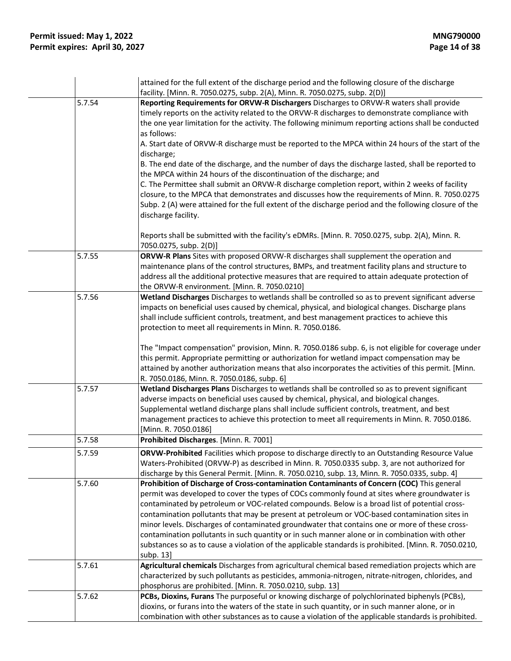|        | attained for the full extent of the discharge period and the following closure of the discharge<br>facility. [Minn. R. 7050.0275, subp. 2(A), Minn. R. 7050.0275, subp. 2(D)]                                                                                                                                                                                                                                                                                                                                                                                                                                                                                                                                          |
|--------|------------------------------------------------------------------------------------------------------------------------------------------------------------------------------------------------------------------------------------------------------------------------------------------------------------------------------------------------------------------------------------------------------------------------------------------------------------------------------------------------------------------------------------------------------------------------------------------------------------------------------------------------------------------------------------------------------------------------|
| 5.7.54 | Reporting Requirements for ORVW-R Dischargers Discharges to ORVW-R waters shall provide<br>timely reports on the activity related to the ORVW-R discharges to demonstrate compliance with<br>the one year limitation for the activity. The following minimum reporting actions shall be conducted<br>as follows:                                                                                                                                                                                                                                                                                                                                                                                                       |
|        | A. Start date of ORVW-R discharge must be reported to the MPCA within 24 hours of the start of the<br>discharge;                                                                                                                                                                                                                                                                                                                                                                                                                                                                                                                                                                                                       |
|        | B. The end date of the discharge, and the number of days the discharge lasted, shall be reported to<br>the MPCA within 24 hours of the discontinuation of the discharge; and                                                                                                                                                                                                                                                                                                                                                                                                                                                                                                                                           |
|        | C. The Permittee shall submit an ORVW-R discharge completion report, within 2 weeks of facility<br>closure, to the MPCA that demonstrates and discusses how the requirements of Minn. R. 7050.0275<br>Subp. 2 (A) were attained for the full extent of the discharge period and the following closure of the<br>discharge facility.                                                                                                                                                                                                                                                                                                                                                                                    |
|        | Reports shall be submitted with the facility's eDMRs. [Minn. R. 7050.0275, subp. 2(A), Minn. R.<br>7050.0275, subp. 2(D)]                                                                                                                                                                                                                                                                                                                                                                                                                                                                                                                                                                                              |
| 5.7.55 | ORVW-R Plans Sites with proposed ORVW-R discharges shall supplement the operation and<br>maintenance plans of the control structures, BMPs, and treatment facility plans and structure to<br>address all the additional protective measures that are required to attain adequate protection of<br>the ORVW-R environment. [Minn. R. 7050.0210]                                                                                                                                                                                                                                                                                                                                                                         |
| 5.7.56 | Wetland Discharges Discharges to wetlands shall be controlled so as to prevent significant adverse<br>impacts on beneficial uses caused by chemical, physical, and biological changes. Discharge plans<br>shall include sufficient controls, treatment, and best management practices to achieve this<br>protection to meet all requirements in Minn. R. 7050.0186.                                                                                                                                                                                                                                                                                                                                                    |
|        | The "Impact compensation" provision, Minn. R. 7050.0186 subp. 6, is not eligible for coverage under<br>this permit. Appropriate permitting or authorization for wetland impact compensation may be<br>attained by another authorization means that also incorporates the activities of this permit. [Minn.<br>R. 7050.0186, Minn. R. 7050.0186, subp. 6]                                                                                                                                                                                                                                                                                                                                                               |
| 5.7.57 | Wetland Discharges Plans Discharges to wetlands shall be controlled so as to prevent significant<br>adverse impacts on beneficial uses caused by chemical, physical, and biological changes.<br>Supplemental wetland discharge plans shall include sufficient controls, treatment, and best<br>management practices to achieve this protection to meet all requirements in Minn. R. 7050.0186.<br>[Minn. R. 7050.0186]                                                                                                                                                                                                                                                                                                 |
| 5.7.58 | Prohibited Discharges. [Minn. R. 7001]                                                                                                                                                                                                                                                                                                                                                                                                                                                                                                                                                                                                                                                                                 |
| 5.7.59 | <b>ORVW-Prohibited</b> Facilities which propose to discharge directly to an Outstanding Resource Value<br>Waters-Prohibited (ORVW-P) as described in Minn. R. 7050.0335 subp. 3, are not authorized for<br>discharge by this General Permit. [Minn. R. 7050.0210, subp. 13, Minn. R. 7050.0335, subp. 4]                                                                                                                                                                                                                                                                                                                                                                                                               |
| 5.7.60 | Prohibition of Discharge of Cross-contamination Contaminants of Concern (COC) This general<br>permit was developed to cover the types of COCs commonly found at sites where groundwater is<br>contaminated by petroleum or VOC-related compounds. Below is a broad list of potential cross-<br>contamination pollutants that may be present at petroleum or VOC-based contamination sites in<br>minor levels. Discharges of contaminated groundwater that contains one or more of these cross-<br>contamination pollutants in such quantity or in such manner alone or in combination with other<br>substances so as to cause a violation of the applicable standards is prohibited. [Minn. R. 7050.0210,<br>subp. 13] |
| 5.7.61 | Agricultural chemicals Discharges from agricultural chemical based remediation projects which are<br>characterized by such pollutants as pesticides, ammonia-nitrogen, nitrate-nitrogen, chlorides, and                                                                                                                                                                                                                                                                                                                                                                                                                                                                                                                |
| 5.7.62 | phosphorus are prohibited. [Minn. R. 7050.0210, subp. 13]<br>PCBs, Dioxins, Furans The purposeful or knowing discharge of polychlorinated biphenyls (PCBs),                                                                                                                                                                                                                                                                                                                                                                                                                                                                                                                                                            |
|        | dioxins, or furans into the waters of the state in such quantity, or in such manner alone, or in<br>combination with other substances as to cause a violation of the applicable standards is prohibited.                                                                                                                                                                                                                                                                                                                                                                                                                                                                                                               |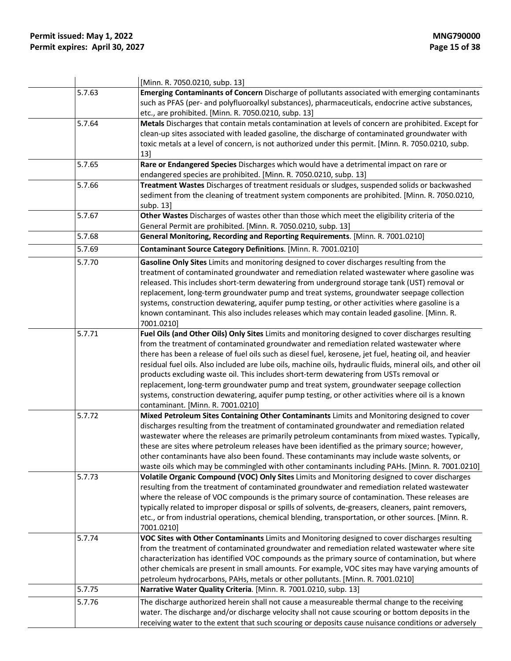|        | [Minn. R. 7050.0210, subp. 13]                                                                               |
|--------|--------------------------------------------------------------------------------------------------------------|
| 5.7.63 | Emerging Contaminants of Concern Discharge of pollutants associated with emerging contaminants               |
|        | such as PFAS (per- and polyfluoroalkyl substances), pharmaceuticals, endocrine active substances,            |
|        | etc., are prohibited. [Minn. R. 7050.0210, subp. 13]                                                         |
| 5.7.64 | Metals Discharges that contain metals contamination at levels of concern are prohibited. Except for          |
|        | clean-up sites associated with leaded gasoline, the discharge of contaminated groundwater with               |
|        | toxic metals at a level of concern, is not authorized under this permit. [Minn. R. 7050.0210, subp.          |
|        | 13]                                                                                                          |
| 5.7.65 | Rare or Endangered Species Discharges which would have a detrimental impact on rare or                       |
|        | endangered species are prohibited. [Minn. R. 7050.0210, subp. 13]                                            |
| 5.7.66 | Treatment Wastes Discharges of treatment residuals or sludges, suspended solids or backwashed                |
|        | sediment from the cleaning of treatment system components are prohibited. [Minn. R. 7050.0210,               |
|        | subp. 13]                                                                                                    |
| 5.7.67 | Other Wastes Discharges of wastes other than those which meet the eligibility criteria of the                |
|        | General Permit are prohibited. [Minn. R. 7050.0210, subp. 13]                                                |
| 5.7.68 | General Monitoring, Recording and Reporting Requirements. [Minn. R. 7001.0210]                               |
| 5.7.69 | Contaminant Source Category Definitions. [Minn. R. 7001.0210]                                                |
| 5.7.70 | Gasoline Only Sites Limits and monitoring designed to cover discharges resulting from the                    |
|        | treatment of contaminated groundwater and remediation related wastewater where gasoline was                  |
|        | released. This includes short-term dewatering from underground storage tank (UST) removal or                 |
|        | replacement, long-term groundwater pump and treat systems, groundwater seepage collection                    |
|        | systems, construction dewatering, aquifer pump testing, or other activities where gasoline is a              |
|        | known contaminant. This also includes releases which may contain leaded gasoline. [Minn. R.                  |
|        | 7001.0210]                                                                                                   |
| 5.7.71 | Fuel Oils (and Other Oils) Only Sites Limits and monitoring designed to cover discharges resulting           |
|        | from the treatment of contaminated groundwater and remediation related wastewater where                      |
|        | there has been a release of fuel oils such as diesel fuel, kerosene, jet fuel, heating oil, and heavier      |
|        | residual fuel oils. Also included are lube oils, machine oils, hydraulic fluids, mineral oils, and other oil |
|        | products excluding waste oil. This includes short-term dewatering from USTs removal or                       |
|        | replacement, long-term groundwater pump and treat system, groundwater seepage collection                     |
|        | systems, construction dewatering, aquifer pump testing, or other activities where oil is a known             |
|        | contaminant. [Minn. R. 7001.0210]                                                                            |
| 5.7.72 | Mixed Petroleum Sites Containing Other Contaminants Limits and Monitoring designed to cover                  |
|        | discharges resulting from the treatment of contaminated groundwater and remediation related                  |
|        | wastewater where the releases are primarily petroleum contaminants from mixed wastes. Typically,             |
|        | these are sites where petroleum releases have been identified as the primary source; however,                |
|        | other contaminants have also been found. These contaminants may include waste solvents, or                   |
|        | waste oils which may be commingled with other contaminants including PAHs. [Minn. R. 7001.0210]              |
| 5.7.73 | Volatile Organic Compound (VOC) Only Sites Limits and Monitoring designed to cover discharges                |
|        | resulting from the treatment of contaminated groundwater and remediation related wastewater                  |
|        | where the release of VOC compounds is the primary source of contamination. These releases are                |
|        | typically related to improper disposal or spills of solvents, de-greasers, cleaners, paint removers,         |
|        | etc., or from industrial operations, chemical blending, transportation, or other sources. [Minn. R.          |
|        | 7001.0210]                                                                                                   |
| 5.7.74 | VOC Sites with Other Contaminants Limits and Monitoring designed to cover discharges resulting               |
|        | from the treatment of contaminated groundwater and remediation related wastewater where site                 |
|        | characterization has identified VOC compounds as the primary source of contamination, but where              |
|        | other chemicals are present in small amounts. For example, VOC sites may have varying amounts of             |
|        | petroleum hydrocarbons, PAHs, metals or other pollutants. [Minn. R. 7001.0210]                               |
| 5.7.75 | Narrative Water Quality Criteria. [Minn. R. 7001.0210, subp. 13]                                             |
| 5.7.76 | The discharge authorized herein shall not cause a measureable thermal change to the receiving                |
|        | water. The discharge and/or discharge velocity shall not cause scouring or bottom deposits in the            |
|        | receiving water to the extent that such scouring or deposits cause nuisance conditions or adversely          |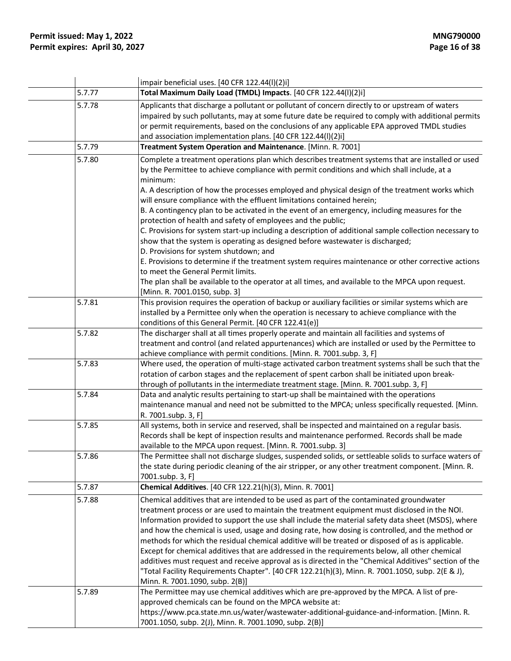|        | impair beneficial uses. [40 CFR 122.44(I)(2)i]                                                                                                                                                                                                                                                                                                                        |
|--------|-----------------------------------------------------------------------------------------------------------------------------------------------------------------------------------------------------------------------------------------------------------------------------------------------------------------------------------------------------------------------|
| 5.7.77 | Total Maximum Daily Load (TMDL) Impacts. [40 CFR 122.44(I)(2)i]                                                                                                                                                                                                                                                                                                       |
| 5.7.78 | Applicants that discharge a pollutant or pollutant of concern directly to or upstream of waters<br>impaired by such pollutants, may at some future date be required to comply with additional permits<br>or permit requirements, based on the conclusions of any applicable EPA approved TMDL studies<br>and association implementation plans. [40 CFR 122.44(I)(2)i] |
| 5.7.79 | Treatment System Operation and Maintenance. [Minn. R. 7001]                                                                                                                                                                                                                                                                                                           |
| 5.7.80 | Complete a treatment operations plan which describes treatment systems that are installed or used<br>by the Permittee to achieve compliance with permit conditions and which shall include, at a<br>minimum:                                                                                                                                                          |
|        | A. A description of how the processes employed and physical design of the treatment works which<br>will ensure compliance with the effluent limitations contained herein;                                                                                                                                                                                             |
|        | B. A contingency plan to be activated in the event of an emergency, including measures for the                                                                                                                                                                                                                                                                        |
|        | protection of health and safety of employees and the public;                                                                                                                                                                                                                                                                                                          |
|        | C. Provisions for system start-up including a description of additional sample collection necessary to<br>show that the system is operating as designed before wastewater is discharged;<br>D. Provisions for system shutdown; and                                                                                                                                    |
|        | E. Provisions to determine if the treatment system requires maintenance or other corrective actions                                                                                                                                                                                                                                                                   |
|        | to meet the General Permit limits.<br>The plan shall be available to the operator at all times, and available to the MPCA upon request.<br>[Minn. R. 7001.0150, subp. 3]                                                                                                                                                                                              |
| 5.7.81 | This provision requires the operation of backup or auxiliary facilities or similar systems which are                                                                                                                                                                                                                                                                  |
|        | installed by a Permittee only when the operation is necessary to achieve compliance with the<br>conditions of this General Permit. [40 CFR 122.41(e)]                                                                                                                                                                                                                 |
| 5.7.82 | The discharger shall at all times properly operate and maintain all facilities and systems of<br>treatment and control (and related appurtenances) which are installed or used by the Permittee to<br>achieve compliance with permit conditions. [Minn. R. 7001.subp. 3, F]                                                                                           |
| 5.7.83 | Where used, the operation of multi-stage activated carbon treatment systems shall be such that the                                                                                                                                                                                                                                                                    |
|        | rotation of carbon stages and the replacement of spent carbon shall be initiated upon break-                                                                                                                                                                                                                                                                          |
|        | through of pollutants in the intermediate treatment stage. [Minn. R. 7001.subp. 3, F]                                                                                                                                                                                                                                                                                 |
| 5.7.84 | Data and analytic results pertaining to start-up shall be maintained with the operations                                                                                                                                                                                                                                                                              |
|        | maintenance manual and need not be submitted to the MPCA; unless specifically requested. [Minn.<br>R. 7001.subp. 3, F]                                                                                                                                                                                                                                                |
| 5.7.85 | All systems, both in service and reserved, shall be inspected and maintained on a regular basis.<br>Records shall be kept of inspection results and maintenance performed. Records shall be made<br>available to the MPCA upon request. [Minn. R. 7001.subp. 3]                                                                                                       |
| 5.7.86 | The Permittee shall not discharge sludges, suspended solids, or settleable solids to surface waters of                                                                                                                                                                                                                                                                |
|        | the state during periodic cleaning of the air stripper, or any other treatment component. [Minn. R.<br>7001.subp. 3, F]                                                                                                                                                                                                                                               |
| 5.7.87 | Chemical Additives. [40 CFR 122.21(h)(3), Minn. R. 7001]                                                                                                                                                                                                                                                                                                              |
| 5.7.88 | Chemical additives that are intended to be used as part of the contaminated groundwater                                                                                                                                                                                                                                                                               |
|        | treatment process or are used to maintain the treatment equipment must disclosed in the NOI.                                                                                                                                                                                                                                                                          |
|        | Information provided to support the use shall include the material safety data sheet (MSDS), where                                                                                                                                                                                                                                                                    |
|        | and how the chemical is used, usage and dosing rate, how dosing is controlled, and the method or                                                                                                                                                                                                                                                                      |
|        | methods for which the residual chemical additive will be treated or disposed of as is applicable.                                                                                                                                                                                                                                                                     |
|        | Except for chemical additives that are addressed in the requirements below, all other chemical                                                                                                                                                                                                                                                                        |
|        | additives must request and receive approval as is directed in the "Chemical Additives" section of the                                                                                                                                                                                                                                                                 |
|        | "Total Facility Requirements Chapter". [40 CFR 122.21(h)(3), Minn. R. 7001.1050, subp. 2(E & J),                                                                                                                                                                                                                                                                      |
| 5.7.89 | Minn. R. 7001.1090, subp. 2(B)]<br>The Permittee may use chemical additives which are pre-approved by the MPCA. A list of pre-                                                                                                                                                                                                                                        |
|        | approved chemicals can be found on the MPCA website at:                                                                                                                                                                                                                                                                                                               |
|        | https://www.pca.state.mn.us/water/wastewater-additional-guidance-and-information. [Minn. R.                                                                                                                                                                                                                                                                           |
|        | 7001.1050, subp. 2(J), Minn. R. 7001.1090, subp. 2(B)]                                                                                                                                                                                                                                                                                                                |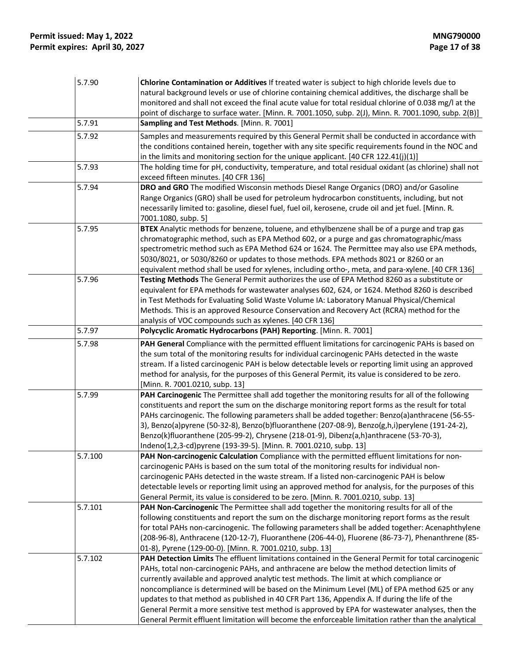| 5.7.90  | Chlorine Contamination or Additives If treated water is subject to high chloride levels due to<br>natural background levels or use of chlorine containing chemical additives, the discharge shall be<br>monitored and shall not exceed the final acute value for total residual chlorine of 0.038 mg/l at the<br>point of discharge to surface water. [Minn. R. 7001.1050, subp. 2(J), Minn. R. 7001.1090, subp. 2(B)]                                                                                                                                                                                                                                                                                      |
|---------|-------------------------------------------------------------------------------------------------------------------------------------------------------------------------------------------------------------------------------------------------------------------------------------------------------------------------------------------------------------------------------------------------------------------------------------------------------------------------------------------------------------------------------------------------------------------------------------------------------------------------------------------------------------------------------------------------------------|
| 5.7.91  | Sampling and Test Methods. [Minn. R. 7001]                                                                                                                                                                                                                                                                                                                                                                                                                                                                                                                                                                                                                                                                  |
| 5.7.92  | Samples and measurements required by this General Permit shall be conducted in accordance with<br>the conditions contained herein, together with any site specific requirements found in the NOC and<br>in the limits and monitoring section for the unique applicant. [40 CFR 122.41(j)(1)]                                                                                                                                                                                                                                                                                                                                                                                                                |
| 5.7.93  | The holding time for pH, conductivity, temperature, and total residual oxidant (as chlorine) shall not<br>exceed fifteen minutes. [40 CFR 136]                                                                                                                                                                                                                                                                                                                                                                                                                                                                                                                                                              |
| 5.7.94  | DRO and GRO The modified Wisconsin methods Diesel Range Organics (DRO) and/or Gasoline<br>Range Organics (GRO) shall be used for petroleum hydrocarbon constituents, including, but not<br>necessarily limited to: gasoline, diesel fuel, fuel oil, kerosene, crude oil and jet fuel. [Minn. R.<br>7001.1080, subp. 5]                                                                                                                                                                                                                                                                                                                                                                                      |
| 5.7.95  | BTEX Analytic methods for benzene, toluene, and ethylbenzene shall be of a purge and trap gas<br>chromatographic method, such as EPA Method 602, or a purge and gas chromatographic/mass<br>spectrometric method such as EPA Method 624 or 1624. The Permittee may also use EPA methods,<br>5030/8021, or 5030/8260 or updates to those methods. EPA methods 8021 or 8260 or an<br>equivalent method shall be used for xylenes, including ortho-, meta, and para-xylene. [40 CFR 136]                                                                                                                                                                                                                       |
| 5.7.96  | Testing Methods The General Permit authorizes the use of EPA Method 8260 as a substitute or<br>equivalent for EPA methods for wastewater analyses 602, 624, or 1624. Method 8260 is described<br>in Test Methods for Evaluating Solid Waste Volume IA: Laboratory Manual Physical/Chemical<br>Methods. This is an approved Resource Conservation and Recovery Act (RCRA) method for the<br>analysis of VOC compounds such as xylenes. [40 CFR 136]                                                                                                                                                                                                                                                          |
| 5.7.97  | Polycyclic Aromatic Hydrocarbons (PAH) Reporting. [Minn. R. 7001]                                                                                                                                                                                                                                                                                                                                                                                                                                                                                                                                                                                                                                           |
| 5.7.98  | PAH General Compliance with the permitted effluent limitations for carcinogenic PAHs is based on<br>the sum total of the monitoring results for individual carcinogenic PAHs detected in the waste<br>stream. If a listed carcinogenic PAH is below detectable levels or reporting limit using an approved<br>method for analysis, for the purposes of this General Permit, its value is considered to be zero.<br>[Minn. R. 7001.0210, subp. 13]                                                                                                                                                                                                                                                           |
| 5.7.99  | PAH Carcinogenic The Permittee shall add together the monitoring results for all of the following<br>constituents and report the sum on the discharge monitoring report forms as the result for total<br>PAHs carcinogenic. The following parameters shall be added together: Benzo(a)anthracene (56-55-<br>3), Benzo(a)pyrene (50-32-8), Benzo(b)fluoranthene (207-08-9), Benzo(g,h,i)perylene (191-24-2),<br>Benzo(k)fluoranthene (205-99-2), Chrysene (218-01-9), Dibenz(a,h)anthracene (53-70-3),<br>Indeno(1,2,3-cd)pyrene (193-39-5). [Minn. R. 7001.0210, subp. 13]                                                                                                                                  |
| 5.7.100 | PAH Non-carcinogenic Calculation Compliance with the permitted effluent limitations for non-<br>carcinogenic PAHs is based on the sum total of the monitoring results for individual non-<br>carcinogenic PAHs detected in the waste stream. If a listed non-carcinogenic PAH is below<br>detectable levels or reporting limit using an approved method for analysis, for the purposes of this<br>General Permit, its value is considered to be zero. [Minn. R. 7001.0210, subp. 13]                                                                                                                                                                                                                        |
| 5.7.101 | PAH Non-Carcinogenic The Permittee shall add together the monitoring results for all of the<br>following constituents and report the sum on the discharge monitoring report forms as the result<br>for total PAHs non-carcinogenic. The following parameters shall be added together: Acenaphthylene<br>(208-96-8), Anthracene (120-12-7), Fluoranthene (206-44-0), Fluorene (86-73-7), Phenanthrene (85-<br>01-8), Pyrene (129-00-0). [Minn. R. 7001.0210, subp. 13]                                                                                                                                                                                                                                       |
| 5.7.102 | PAH Detection Limits The effluent limitations contained in the General Permit for total carcinogenic<br>PAHs, total non-carcinogenic PAHs, and anthracene are below the method detection limits of<br>currently available and approved analytic test methods. The limit at which compliance or<br>noncompliance is determined will be based on the Minimum Level (ML) of EPA method 625 or any<br>updates to that method as published in 40 CFR Part 136, Appendix A. If during the life of the<br>General Permit a more sensitive test method is approved by EPA for wastewater analyses, then the<br>General Permit effluent limitation will become the enforceable limitation rather than the analytical |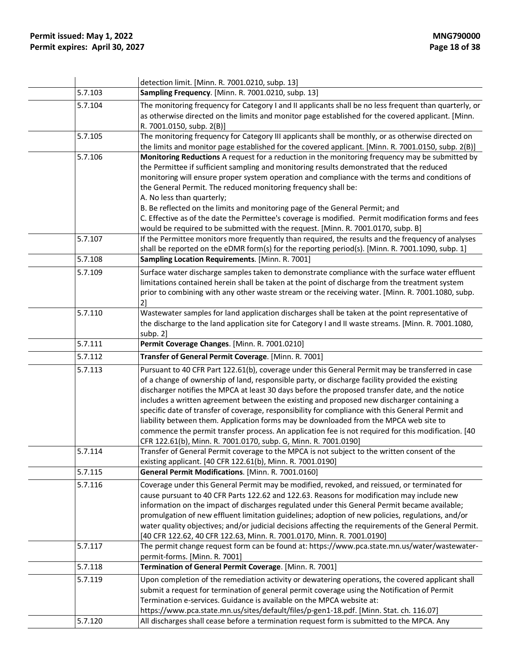|         | detection limit. [Minn. R. 7001.0210, subp. 13]                                                                                                                                              |
|---------|----------------------------------------------------------------------------------------------------------------------------------------------------------------------------------------------|
| 5.7.103 | Sampling Frequency. [Minn. R. 7001.0210, subp. 13]                                                                                                                                           |
| 5.7.104 | The monitoring frequency for Category I and II applicants shall be no less frequent than quarterly, or                                                                                       |
|         | as otherwise directed on the limits and monitor page established for the covered applicant. [Minn.                                                                                           |
|         | R. 7001.0150, subp. 2(B)]                                                                                                                                                                    |
| 5.7.105 | The monitoring frequency for Category III applicants shall be monthly, or as otherwise directed on                                                                                           |
|         | the limits and monitor page established for the covered applicant. [Minn. R. 7001.0150, subp. 2(B)]                                                                                          |
| 5.7.106 | Monitoring Reductions A request for a reduction in the monitoring frequency may be submitted by                                                                                              |
|         | the Permittee if sufficient sampling and monitoring results demonstrated that the reduced                                                                                                    |
|         | monitoring will ensure proper system operation and compliance with the terms and conditions of                                                                                               |
|         | the General Permit. The reduced monitoring frequency shall be:                                                                                                                               |
|         | A. No less than quarterly;                                                                                                                                                                   |
|         | B. Be reflected on the limits and monitoring page of the General Permit; and                                                                                                                 |
|         | C. Effective as of the date the Permittee's coverage is modified. Permit modification forms and fees                                                                                         |
|         | would be required to be submitted with the request. [Minn. R. 7001.0170, subp. B]                                                                                                            |
| 5.7.107 | If the Permittee monitors more frequently than required, the results and the frequency of analyses                                                                                           |
| 5.7.108 | shall be reported on the eDMR form(s) for the reporting period(s). [Minn. R. 7001.1090, subp. 1]<br>Sampling Location Requirements. [Minn. R. 7001]                                          |
|         |                                                                                                                                                                                              |
| 5.7.109 | Surface water discharge samples taken to demonstrate compliance with the surface water effluent                                                                                              |
|         | limitations contained herein shall be taken at the point of discharge from the treatment system                                                                                              |
|         | prior to combining with any other waste stream or the receiving water. [Minn. R. 7001.1080, subp.                                                                                            |
| 5.7.110 | $\mathbf{2}$<br>Wastewater samples for land application discharges shall be taken at the point representative of                                                                             |
|         | the discharge to the land application site for Category I and II waste streams. [Minn. R. 7001.1080,                                                                                         |
|         | subp. $2]$                                                                                                                                                                                   |
| 5.7.111 | Permit Coverage Changes. [Minn. R. 7001.0210]                                                                                                                                                |
|         |                                                                                                                                                                                              |
|         |                                                                                                                                                                                              |
| 5.7.112 | Transfer of General Permit Coverage. [Minn. R. 7001]                                                                                                                                         |
| 5.7.113 | Pursuant to 40 CFR Part 122.61(b), coverage under this General Permit may be transferred in case                                                                                             |
|         | of a change of ownership of land, responsible party, or discharge facility provided the existing                                                                                             |
|         | discharger notifies the MPCA at least 30 days before the proposed transfer date, and the notice                                                                                              |
|         | includes a written agreement between the existing and proposed new discharger containing a                                                                                                   |
|         | specific date of transfer of coverage, responsibility for compliance with this General Permit and                                                                                            |
|         | liability between them. Application forms may be downloaded from the MPCA web site to<br>commence the permit transfer process. An application fee is not required for this modification. [40 |
|         | CFR 122.61(b), Minn. R. 7001.0170, subp. G, Minn. R. 7001.0190]                                                                                                                              |
| 5.7.114 | Transfer of General Permit coverage to the MPCA is not subject to the written consent of the                                                                                                 |
|         | existing applicant. [40 CFR 122.61(b), Minn. R. 7001.0190]                                                                                                                                   |
| 5.7.115 | General Permit Modifications. [Minn. R. 7001.0160]                                                                                                                                           |
| 5.7.116 | Coverage under this General Permit may be modified, revoked, and reissued, or terminated for                                                                                                 |
|         | cause pursuant to 40 CFR Parts 122.62 and 122.63. Reasons for modification may include new                                                                                                   |
|         | information on the impact of discharges regulated under this General Permit became available;                                                                                                |
|         | promulgation of new effluent limitation guidelines; adoption of new policies, regulations, and/or                                                                                            |
|         | water quality objectives; and/or judicial decisions affecting the requirements of the General Permit.                                                                                        |
|         | [40 CFR 122.62, 40 CFR 122.63, Minn. R. 7001.0170, Minn. R. 7001.0190]                                                                                                                       |
| 5.7.117 | The permit change request form can be found at: https://www.pca.state.mn.us/water/wastewater-                                                                                                |
|         | permit-forms. [Minn. R. 7001]                                                                                                                                                                |
| 5.7.118 | Termination of General Permit Coverage. [Minn. R. 7001]                                                                                                                                      |
| 5.7.119 | Upon completion of the remediation activity or dewatering operations, the covered applicant shall                                                                                            |
|         | submit a request for termination of general permit coverage using the Notification of Permit                                                                                                 |
|         | Termination e-services. Guidance is available on the MPCA website at:                                                                                                                        |
| 5.7.120 | https://www.pca.state.mn.us/sites/default/files/p-gen1-18.pdf. [Minn. Stat. ch. 116.07]<br>All discharges shall cease before a termination request form is submitted to the MPCA. Any        |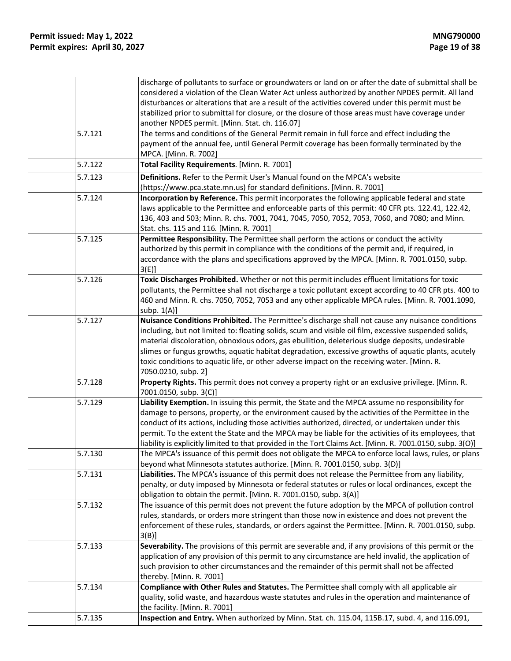|         | discharge of pollutants to surface or groundwaters or land on or after the date of submittal shall be<br>considered a violation of the Clean Water Act unless authorized by another NPDES permit. All land<br>disturbances or alterations that are a result of the activities covered under this permit must be<br>stabilized prior to submittal for closure, or the closure of those areas must have coverage under<br>another NPDES permit. [Minn. Stat. ch. 116.07]                                                                        |
|---------|-----------------------------------------------------------------------------------------------------------------------------------------------------------------------------------------------------------------------------------------------------------------------------------------------------------------------------------------------------------------------------------------------------------------------------------------------------------------------------------------------------------------------------------------------|
| 5.7.121 | The terms and conditions of the General Permit remain in full force and effect including the<br>payment of the annual fee, until General Permit coverage has been formally terminated by the<br>MPCA. [Minn. R. 7002]                                                                                                                                                                                                                                                                                                                         |
| 5.7.122 | Total Facility Requirements. [Minn. R. 7001]                                                                                                                                                                                                                                                                                                                                                                                                                                                                                                  |
| 5.7.123 | Definitions. Refer to the Permit User's Manual found on the MPCA's website<br>(https://www.pca.state.mn.us) for standard definitions. [Minn. R. 7001]                                                                                                                                                                                                                                                                                                                                                                                         |
| 5.7.124 | Incorporation by Reference. This permit incorporates the following applicable federal and state<br>laws applicable to the Permittee and enforceable parts of this permit: 40 CFR pts. 122.41, 122.42,<br>136, 403 and 503; Minn. R. chs. 7001, 7041, 7045, 7050, 7052, 7053, 7060, and 7080; and Minn.<br>Stat. chs. 115 and 116. [Minn. R. 7001]                                                                                                                                                                                             |
| 5.7.125 | Permittee Responsibility. The Permittee shall perform the actions or conduct the activity<br>authorized by this permit in compliance with the conditions of the permit and, if required, in<br>accordance with the plans and specifications approved by the MPCA. [Minn. R. 7001.0150, subp.<br>$3(E)$ ]                                                                                                                                                                                                                                      |
| 5.7.126 | Toxic Discharges Prohibited. Whether or not this permit includes effluent limitations for toxic<br>pollutants, the Permittee shall not discharge a toxic pollutant except according to 40 CFR pts. 400 to<br>460 and Minn. R. chs. 7050, 7052, 7053 and any other applicable MPCA rules. [Minn. R. 7001.1090,<br>subp. $1(A)$ ]                                                                                                                                                                                                               |
| 5.7.127 | Nuisance Conditions Prohibited. The Permittee's discharge shall not cause any nuisance conditions<br>including, but not limited to: floating solids, scum and visible oil film, excessive suspended solids,<br>material discoloration, obnoxious odors, gas ebullition, deleterious sludge deposits, undesirable<br>slimes or fungus growths, aquatic habitat degradation, excessive growths of aquatic plants, acutely<br>toxic conditions to aquatic life, or other adverse impact on the receiving water. [Minn. R.<br>7050.0210, subp. 2] |
| 5.7.128 | Property Rights. This permit does not convey a property right or an exclusive privilege. [Minn. R.<br>7001.0150, subp. 3(C)]                                                                                                                                                                                                                                                                                                                                                                                                                  |
| 5.7.129 | Liability Exemption. In issuing this permit, the State and the MPCA assume no responsibility for<br>damage to persons, property, or the environment caused by the activities of the Permittee in the<br>conduct of its actions, including those activities authorized, directed, or undertaken under this<br>permit. To the extent the State and the MPCA may be liable for the activities of its employees, that<br>liability is explicitly limited to that provided in the Tort Claims Act. [Minn. R. 7001.0150, subp. 3(O)]                |
| 5.7.130 | The MPCA's issuance of this permit does not obligate the MPCA to enforce local laws, rules, or plans<br>beyond what Minnesota statutes authorize. [Minn. R. 7001.0150, subp. 3(D)]                                                                                                                                                                                                                                                                                                                                                            |
| 5.7.131 | Liabilities. The MPCA's issuance of this permit does not release the Permittee from any liability,<br>penalty, or duty imposed by Minnesota or federal statutes or rules or local ordinances, except the<br>obligation to obtain the permit. [Minn. R. 7001.0150, subp. 3(A)]                                                                                                                                                                                                                                                                 |
| 5.7.132 | The issuance of this permit does not prevent the future adoption by the MPCA of pollution control<br>rules, standards, or orders more stringent than those now in existence and does not prevent the<br>enforcement of these rules, standards, or orders against the Permittee. [Minn. R. 7001.0150, subp.<br>3(B)]                                                                                                                                                                                                                           |
| 5.7.133 | Severability. The provisions of this permit are severable and, if any provisions of this permit or the<br>application of any provision of this permit to any circumstance are held invalid, the application of<br>such provision to other circumstances and the remainder of this permit shall not be affected<br>thereby. [Minn. R. 7001]                                                                                                                                                                                                    |
| 5.7.134 | Compliance with Other Rules and Statutes. The Permittee shall comply with all applicable air<br>quality, solid waste, and hazardous waste statutes and rules in the operation and maintenance of<br>the facility. [Minn. R. 7001]                                                                                                                                                                                                                                                                                                             |
| 5.7.135 | Inspection and Entry. When authorized by Minn. Stat. ch. 115.04, 115B.17, subd. 4, and 116.091,                                                                                                                                                                                                                                                                                                                                                                                                                                               |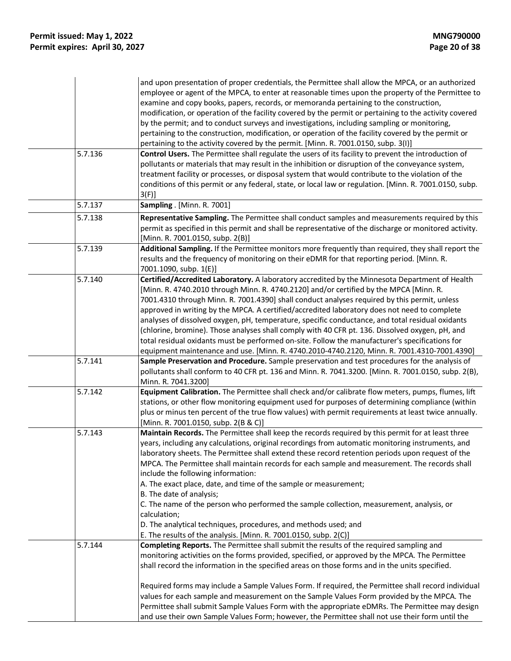|         | and upon presentation of proper credentials, the Permittee shall allow the MPCA, or an authorized<br>employee or agent of the MPCA, to enter at reasonable times upon the property of the Permittee to<br>examine and copy books, papers, records, or memoranda pertaining to the construction,<br>modification, or operation of the facility covered by the permit or pertaining to the activity covered<br>by the permit; and to conduct surveys and investigations, including sampling or monitoring,<br>pertaining to the construction, modification, or operation of the facility covered by the permit or<br>pertaining to the activity covered by the permit. [Minn. R. 7001.0150, subp. 3(I)]                                                                                                |
|---------|------------------------------------------------------------------------------------------------------------------------------------------------------------------------------------------------------------------------------------------------------------------------------------------------------------------------------------------------------------------------------------------------------------------------------------------------------------------------------------------------------------------------------------------------------------------------------------------------------------------------------------------------------------------------------------------------------------------------------------------------------------------------------------------------------|
| 5.7.136 | Control Users. The Permittee shall regulate the users of its facility to prevent the introduction of<br>pollutants or materials that may result in the inhibition or disruption of the conveyance system,<br>treatment facility or processes, or disposal system that would contribute to the violation of the<br>conditions of this permit or any federal, state, or local law or regulation. [Minn. R. 7001.0150, subp.<br>$3(F)$ ]                                                                                                                                                                                                                                                                                                                                                                |
| 5.7.137 | Sampling . [Minn. R. 7001]                                                                                                                                                                                                                                                                                                                                                                                                                                                                                                                                                                                                                                                                                                                                                                           |
| 5.7.138 | Representative Sampling. The Permittee shall conduct samples and measurements required by this<br>permit as specified in this permit and shall be representative of the discharge or monitored activity.<br>[Minn. R. 7001.0150, subp. 2(B)]                                                                                                                                                                                                                                                                                                                                                                                                                                                                                                                                                         |
| 5.7.139 | Additional Sampling. If the Permittee monitors more frequently than required, they shall report the<br>results and the frequency of monitoring on their eDMR for that reporting period. [Minn. R.<br>7001.1090, subp. 1(E)]                                                                                                                                                                                                                                                                                                                                                                                                                                                                                                                                                                          |
| 5.7.140 | Certified/Accredited Laboratory. A laboratory accredited by the Minnesota Department of Health<br>[Minn. R. 4740.2010 through Minn. R. 4740.2120] and/or certified by the MPCA [Minn. R.<br>7001.4310 through Minn. R. 7001.4390] shall conduct analyses required by this permit, unless<br>approved in writing by the MPCA. A certified/accredited laboratory does not need to complete<br>analyses of dissolved oxygen, pH, temperature, specific conductance, and total residual oxidants<br>(chlorine, bromine). Those analyses shall comply with 40 CFR pt. 136. Dissolved oxygen, pH, and<br>total residual oxidants must be performed on-site. Follow the manufacturer's specifications for<br>equipment maintenance and use. [Minn. R. 4740.2010-4740.2120, Minn. R. 7001.4310-7001.4390]    |
| 5.7.141 | Sample Preservation and Procedure. Sample preservation and test procedures for the analysis of<br>pollutants shall conform to 40 CFR pt. 136 and Minn. R. 7041.3200. [Minn. R. 7001.0150, subp. 2(B),<br>Minn. R. 7041.3200]                                                                                                                                                                                                                                                                                                                                                                                                                                                                                                                                                                         |
| 5.7.142 | Equipment Calibration. The Permittee shall check and/or calibrate flow meters, pumps, flumes, lift<br>stations, or other flow monitoring equipment used for purposes of determining compliance (within<br>plus or minus ten percent of the true flow values) with permit requirements at least twice annually.<br>[Minn. R. 7001.0150, subp. 2(B & C)]                                                                                                                                                                                                                                                                                                                                                                                                                                               |
| 5.7.143 | Maintain Records. The Permittee shall keep the records required by this permit for at least three<br>years, including any calculations, original recordings from automatic monitoring instruments, and<br>laboratory sheets. The Permittee shall extend these record retention periods upon request of the<br>MPCA. The Permittee shall maintain records for each sample and measurement. The records shall<br>include the following information:<br>A. The exact place, date, and time of the sample or measurement;<br>B. The date of analysis;<br>C. The name of the person who performed the sample collection, measurement, analysis, or<br>calculation;<br>D. The analytical techniques, procedures, and methods used; and<br>E. The results of the analysis. [Minn. R. 7001.0150, subp. 2(C)] |
| 5.7.144 | Completing Reports. The Permittee shall submit the results of the required sampling and<br>monitoring activities on the forms provided, specified, or approved by the MPCA. The Permittee<br>shall record the information in the specified areas on those forms and in the units specified.<br>Required forms may include a Sample Values Form. If required, the Permittee shall record individual<br>values for each sample and measurement on the Sample Values Form provided by the MPCA. The<br>Permittee shall submit Sample Values Form with the appropriate eDMRs. The Permittee may design<br>and use their own Sample Values Form; however, the Permittee shall not use their form until the                                                                                                |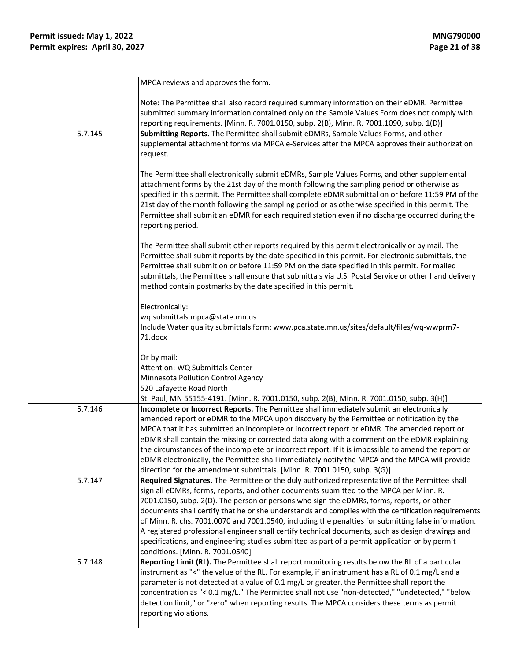|         | MPCA reviews and approves the form.                                                                                                                                                                                                                                                                                                                                                                                                                                                                                                                                                                                                                                                                                                             |
|---------|-------------------------------------------------------------------------------------------------------------------------------------------------------------------------------------------------------------------------------------------------------------------------------------------------------------------------------------------------------------------------------------------------------------------------------------------------------------------------------------------------------------------------------------------------------------------------------------------------------------------------------------------------------------------------------------------------------------------------------------------------|
|         | Note: The Permittee shall also record required summary information on their eDMR. Permittee<br>submitted summary information contained only on the Sample Values Form does not comply with<br>reporting requirements. [Minn. R. 7001.0150, subp. 2(B), Minn. R. 7001.1090, subp. 1(D)]                                                                                                                                                                                                                                                                                                                                                                                                                                                          |
| 5.7.145 | Submitting Reports. The Permittee shall submit eDMRs, Sample Values Forms, and other<br>supplemental attachment forms via MPCA e-Services after the MPCA approves their authorization<br>request.                                                                                                                                                                                                                                                                                                                                                                                                                                                                                                                                               |
|         | The Permittee shall electronically submit eDMRs, Sample Values Forms, and other supplemental<br>attachment forms by the 21st day of the month following the sampling period or otherwise as<br>specified in this permit. The Permittee shall complete eDMR submittal on or before 11:59 PM of the<br>21st day of the month following the sampling period or as otherwise specified in this permit. The<br>Permittee shall submit an eDMR for each required station even if no discharge occurred during the<br>reporting period.                                                                                                                                                                                                                |
|         | The Permittee shall submit other reports required by this permit electronically or by mail. The<br>Permittee shall submit reports by the date specified in this permit. For electronic submittals, the<br>Permittee shall submit on or before 11:59 PM on the date specified in this permit. For mailed<br>submittals, the Permittee shall ensure that submittals via U.S. Postal Service or other hand delivery<br>method contain postmarks by the date specified in this permit.                                                                                                                                                                                                                                                              |
|         | Electronically:<br>wq.submittals.mpca@state.mn.us<br>Include Water quality submittals form: www.pca.state.mn.us/sites/default/files/wq-wwprm7-<br>71.docx                                                                                                                                                                                                                                                                                                                                                                                                                                                                                                                                                                                       |
|         | Or by mail:<br>Attention: WQ Submittals Center<br>Minnesota Pollution Control Agency<br>520 Lafayette Road North<br>St. Paul, MN 55155-4191. [Minn. R. 7001.0150, subp. 2(B), Minn. R. 7001.0150, subp. 3(H)]                                                                                                                                                                                                                                                                                                                                                                                                                                                                                                                                   |
| 5.7.146 | Incomplete or Incorrect Reports. The Permittee shall immediately submit an electronically<br>amended report or eDMR to the MPCA upon discovery by the Permittee or notification by the<br>MPCA that it has submitted an incomplete or incorrect report or eDMR. The amended report or<br>eDMR shall contain the missing or corrected data along with a comment on the eDMR explaining<br>the circumstances of the incomplete or incorrect report. If it is impossible to amend the report or<br>eDMR electronically, the Permittee shall immediately notify the MPCA and the MPCA will provide<br>direction for the amendment submittals. [Minn. R. 7001.0150, subp. 3(G)]                                                                      |
| 5.7.147 | Required Signatures. The Permittee or the duly authorized representative of the Permittee shall<br>sign all eDMRs, forms, reports, and other documents submitted to the MPCA per Minn. R.<br>7001.0150, subp. 2(D). The person or persons who sign the eDMRs, forms, reports, or other<br>documents shall certify that he or she understands and complies with the certification requirements<br>of Minn. R. chs. 7001.0070 and 7001.0540, including the penalties for submitting false information.<br>A registered professional engineer shall certify technical documents, such as design drawings and<br>specifications, and engineering studies submitted as part of a permit application or by permit<br>conditions. [Minn. R. 7001.0540] |
| 5.7.148 | Reporting Limit (RL). The Permittee shall report monitoring results below the RL of a particular<br>instrument as "<" the value of the RL. For example, if an instrument has a RL of 0.1 mg/L and a<br>parameter is not detected at a value of 0.1 mg/L or greater, the Permittee shall report the<br>concentration as "< 0.1 mg/L." The Permittee shall not use "non-detected," "undetected," "below<br>detection limit," or "zero" when reporting results. The MPCA considers these terms as permit<br>reporting violations.                                                                                                                                                                                                                  |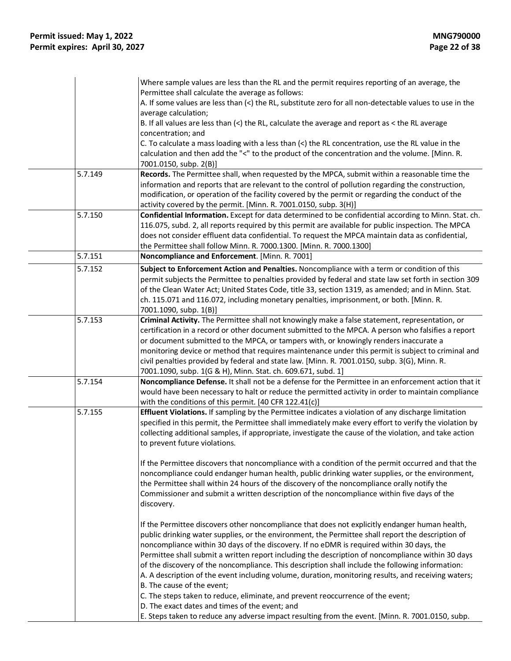|         | Where sample values are less than the RL and the permit requires reporting of an average, the<br>Permittee shall calculate the average as follows:<br>A. If some values are less than (<) the RL, substitute zero for all non-detectable values to use in the<br>average calculation;<br>B. If all values are less than $\left\langle \cdot \right\rangle$ the RL, calculate the average and report as $\lt$ the RL average<br>concentration; and<br>C. To calculate a mass loading with a less than $\leq$ the RL concentration, use the RL value in the<br>calculation and then add the "<" to the product of the concentration and the volume. [Minn. R.<br>7001.0150, subp. 2(B)]                                                                                               |
|---------|-------------------------------------------------------------------------------------------------------------------------------------------------------------------------------------------------------------------------------------------------------------------------------------------------------------------------------------------------------------------------------------------------------------------------------------------------------------------------------------------------------------------------------------------------------------------------------------------------------------------------------------------------------------------------------------------------------------------------------------------------------------------------------------|
| 5.7.149 | Records. The Permittee shall, when requested by the MPCA, submit within a reasonable time the<br>information and reports that are relevant to the control of pollution regarding the construction,<br>modification, or operation of the facility covered by the permit or regarding the conduct of the<br>activity covered by the permit. [Minn. R. 7001.0150, subp. 3(H)]                                                                                                                                                                                                                                                                                                                                                                                                          |
| 5.7.150 | Confidential Information. Except for data determined to be confidential according to Minn. Stat. ch.<br>116.075, subd. 2, all reports required by this permit are available for public inspection. The MPCA<br>does not consider effluent data confidential. To request the MPCA maintain data as confidential,<br>the Permittee shall follow Minn. R. 7000.1300. [Minn. R. 7000.1300]                                                                                                                                                                                                                                                                                                                                                                                              |
| 5.7.151 | Noncompliance and Enforcement. [Minn. R. 7001]                                                                                                                                                                                                                                                                                                                                                                                                                                                                                                                                                                                                                                                                                                                                      |
| 5.7.152 | Subject to Enforcement Action and Penalties. Noncompliance with a term or condition of this<br>permit subjects the Permittee to penalties provided by federal and state law set forth in section 309<br>of the Clean Water Act; United States Code, title 33, section 1319, as amended; and in Minn. Stat.<br>ch. 115.071 and 116.072, including monetary penalties, imprisonment, or both. [Minn. R.<br>7001.1090, subp. 1(B)]                                                                                                                                                                                                                                                                                                                                                     |
| 5.7.153 | Criminal Activity. The Permittee shall not knowingly make a false statement, representation, or<br>certification in a record or other document submitted to the MPCA. A person who falsifies a report<br>or document submitted to the MPCA, or tampers with, or knowingly renders inaccurate a<br>monitoring device or method that requires maintenance under this permit is subject to criminal and<br>civil penalties provided by federal and state law. [Minn. R. 7001.0150, subp. 3(G), Minn. R.<br>7001.1090, subp. 1(G & H), Minn. Stat. ch. 609.671, subd. 1]                                                                                                                                                                                                                |
| 5.7.154 | Noncompliance Defense. It shall not be a defense for the Permittee in an enforcement action that it<br>would have been necessary to halt or reduce the permitted activity in order to maintain compliance<br>with the conditions of this permit. [40 CFR 122.41(c)]                                                                                                                                                                                                                                                                                                                                                                                                                                                                                                                 |
| 5.7.155 | Effluent Violations. If sampling by the Permittee indicates a violation of any discharge limitation<br>specified in this permit, the Permittee shall immediately make every effort to verify the violation by<br>collecting additional samples, if appropriate, investigate the cause of the violation, and take action<br>to prevent future violations.                                                                                                                                                                                                                                                                                                                                                                                                                            |
|         | If the Permittee discovers that noncompliance with a condition of the permit occurred and that the<br>noncompliance could endanger human health, public drinking water supplies, or the environment,<br>the Permittee shall within 24 hours of the discovery of the noncompliance orally notify the<br>Commissioner and submit a written description of the noncompliance within five days of the<br>discovery.                                                                                                                                                                                                                                                                                                                                                                     |
|         | If the Permittee discovers other noncompliance that does not explicitly endanger human health,<br>public drinking water supplies, or the environment, the Permittee shall report the description of<br>noncompliance within 30 days of the discovery. If no eDMR is required within 30 days, the<br>Permittee shall submit a written report including the description of noncompliance within 30 days<br>of the discovery of the noncompliance. This description shall include the following information:<br>A. A description of the event including volume, duration, monitoring results, and receiving waters;<br>B. The cause of the event;<br>C. The steps taken to reduce, eliminate, and prevent reoccurrence of the event;<br>D. The exact dates and times of the event; and |
|         | E. Steps taken to reduce any adverse impact resulting from the event. [Minn. R. 7001.0150, subp.                                                                                                                                                                                                                                                                                                                                                                                                                                                                                                                                                                                                                                                                                    |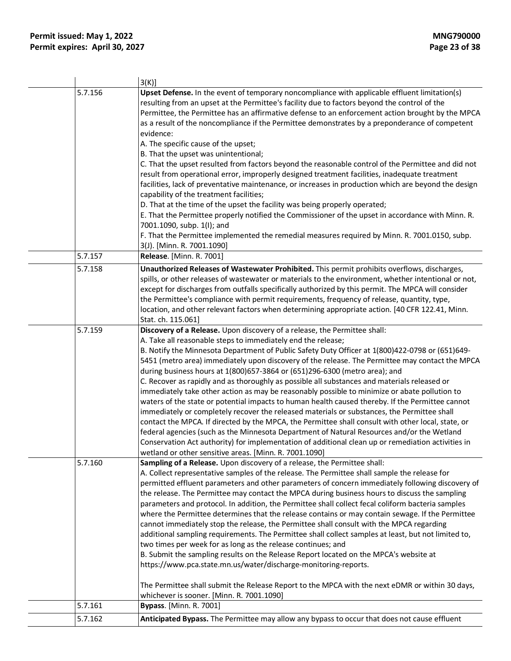|         | $3(K)$ ]                                                                                                                                                                                                                                                                                                                                                                                                                                                                                                                                                                                                                                                                                                                                                                                                                                                                                                                                                                                                                                                                                                                                                                                                                                                                                                                                                                                                                                                                                                                                                                                                                                                                                                                                                                                                                                                                                                              |
|---------|-----------------------------------------------------------------------------------------------------------------------------------------------------------------------------------------------------------------------------------------------------------------------------------------------------------------------------------------------------------------------------------------------------------------------------------------------------------------------------------------------------------------------------------------------------------------------------------------------------------------------------------------------------------------------------------------------------------------------------------------------------------------------------------------------------------------------------------------------------------------------------------------------------------------------------------------------------------------------------------------------------------------------------------------------------------------------------------------------------------------------------------------------------------------------------------------------------------------------------------------------------------------------------------------------------------------------------------------------------------------------------------------------------------------------------------------------------------------------------------------------------------------------------------------------------------------------------------------------------------------------------------------------------------------------------------------------------------------------------------------------------------------------------------------------------------------------------------------------------------------------------------------------------------------------|
| 5.7.156 | Upset Defense. In the event of temporary noncompliance with applicable effluent limitation(s)<br>resulting from an upset at the Permittee's facility due to factors beyond the control of the<br>Permittee, the Permittee has an affirmative defense to an enforcement action brought by the MPCA<br>as a result of the noncompliance if the Permittee demonstrates by a preponderance of competent<br>evidence:<br>A. The specific cause of the upset;                                                                                                                                                                                                                                                                                                                                                                                                                                                                                                                                                                                                                                                                                                                                                                                                                                                                                                                                                                                                                                                                                                                                                                                                                                                                                                                                                                                                                                                               |
|         | B. That the upset was unintentional;                                                                                                                                                                                                                                                                                                                                                                                                                                                                                                                                                                                                                                                                                                                                                                                                                                                                                                                                                                                                                                                                                                                                                                                                                                                                                                                                                                                                                                                                                                                                                                                                                                                                                                                                                                                                                                                                                  |
|         | C. That the upset resulted from factors beyond the reasonable control of the Permittee and did not<br>result from operational error, improperly designed treatment facilities, inadequate treatment<br>facilities, lack of preventative maintenance, or increases in production which are beyond the design<br>capability of the treatment facilities;<br>D. That at the time of the upset the facility was being properly operated;                                                                                                                                                                                                                                                                                                                                                                                                                                                                                                                                                                                                                                                                                                                                                                                                                                                                                                                                                                                                                                                                                                                                                                                                                                                                                                                                                                                                                                                                                  |
|         | E. That the Permittee properly notified the Commissioner of the upset in accordance with Minn. R.                                                                                                                                                                                                                                                                                                                                                                                                                                                                                                                                                                                                                                                                                                                                                                                                                                                                                                                                                                                                                                                                                                                                                                                                                                                                                                                                                                                                                                                                                                                                                                                                                                                                                                                                                                                                                     |
|         | 7001.1090, subp. 1(I); and<br>F. That the Permittee implemented the remedial measures required by Minn. R. 7001.0150, subp.                                                                                                                                                                                                                                                                                                                                                                                                                                                                                                                                                                                                                                                                                                                                                                                                                                                                                                                                                                                                                                                                                                                                                                                                                                                                                                                                                                                                                                                                                                                                                                                                                                                                                                                                                                                           |
| 5.7.157 | 3(J). [Minn. R. 7001.1090]<br>Release. [Minn. R. 7001]                                                                                                                                                                                                                                                                                                                                                                                                                                                                                                                                                                                                                                                                                                                                                                                                                                                                                                                                                                                                                                                                                                                                                                                                                                                                                                                                                                                                                                                                                                                                                                                                                                                                                                                                                                                                                                                                |
|         |                                                                                                                                                                                                                                                                                                                                                                                                                                                                                                                                                                                                                                                                                                                                                                                                                                                                                                                                                                                                                                                                                                                                                                                                                                                                                                                                                                                                                                                                                                                                                                                                                                                                                                                                                                                                                                                                                                                       |
| 5.7.158 | Unauthorized Releases of Wastewater Prohibited. This permit prohibits overflows, discharges,<br>spills, or other releases of wastewater or materials to the environment, whether intentional or not,<br>except for discharges from outfalls specifically authorized by this permit. The MPCA will consider<br>the Permittee's compliance with permit requirements, frequency of release, quantity, type,<br>location, and other relevant factors when determining appropriate action. [40 CFR 122.41, Minn.<br>Stat. ch. 115.061]                                                                                                                                                                                                                                                                                                                                                                                                                                                                                                                                                                                                                                                                                                                                                                                                                                                                                                                                                                                                                                                                                                                                                                                                                                                                                                                                                                                     |
| 5.7.159 | Discovery of a Release. Upon discovery of a release, the Permittee shall:                                                                                                                                                                                                                                                                                                                                                                                                                                                                                                                                                                                                                                                                                                                                                                                                                                                                                                                                                                                                                                                                                                                                                                                                                                                                                                                                                                                                                                                                                                                                                                                                                                                                                                                                                                                                                                             |
| 5.7.160 | A. Take all reasonable steps to immediately end the release;<br>B. Notify the Minnesota Department of Public Safety Duty Officer at 1(800)422-0798 or (651)649-<br>5451 (metro area) immediately upon discovery of the release. The Permittee may contact the MPCA<br>during business hours at 1(800)657-3864 or (651)296-6300 (metro area); and<br>C. Recover as rapidly and as thoroughly as possible all substances and materials released or<br>immediately take other action as may be reasonably possible to minimize or abate pollution to<br>waters of the state or potential impacts to human health caused thereby. If the Permittee cannot<br>immediately or completely recover the released materials or substances, the Permittee shall<br>contact the MPCA. If directed by the MPCA, the Permittee shall consult with other local, state, or<br>federal agencies (such as the Minnesota Department of Natural Resources and/or the Wetland<br>Conservation Act authority) for implementation of additional clean up or remediation activities in<br>wetland or other sensitive areas. [Minn. R. 7001.1090]<br>Sampling of a Release. Upon discovery of a release, the Permittee shall:<br>A. Collect representative samples of the release. The Permittee shall sample the release for<br>permitted effluent parameters and other parameters of concern immediately following discovery of<br>the release. The Permittee may contact the MPCA during business hours to discuss the sampling<br>parameters and protocol. In addition, the Permittee shall collect fecal coliform bacteria samples<br>where the Permittee determines that the release contains or may contain sewage. If the Permittee<br>cannot immediately stop the release, the Permittee shall consult with the MPCA regarding<br>additional sampling requirements. The Permittee shall collect samples at least, but not limited to, |
|         | two times per week for as long as the release continues; and<br>B. Submit the sampling results on the Release Report located on the MPCA's website at<br>https://www.pca.state.mn.us/water/discharge-monitoring-reports.<br>The Permittee shall submit the Release Report to the MPCA with the next eDMR or within 30 days,                                                                                                                                                                                                                                                                                                                                                                                                                                                                                                                                                                                                                                                                                                                                                                                                                                                                                                                                                                                                                                                                                                                                                                                                                                                                                                                                                                                                                                                                                                                                                                                           |
| 5.7.161 | whichever is sooner. [Minn. R. 7001.1090]<br><b>Bypass.</b> [Minn. R. 7001]                                                                                                                                                                                                                                                                                                                                                                                                                                                                                                                                                                                                                                                                                                                                                                                                                                                                                                                                                                                                                                                                                                                                                                                                                                                                                                                                                                                                                                                                                                                                                                                                                                                                                                                                                                                                                                           |
| 5.7.162 | Anticipated Bypass. The Permittee may allow any bypass to occur that does not cause effluent                                                                                                                                                                                                                                                                                                                                                                                                                                                                                                                                                                                                                                                                                                                                                                                                                                                                                                                                                                                                                                                                                                                                                                                                                                                                                                                                                                                                                                                                                                                                                                                                                                                                                                                                                                                                                          |
|         |                                                                                                                                                                                                                                                                                                                                                                                                                                                                                                                                                                                                                                                                                                                                                                                                                                                                                                                                                                                                                                                                                                                                                                                                                                                                                                                                                                                                                                                                                                                                                                                                                                                                                                                                                                                                                                                                                                                       |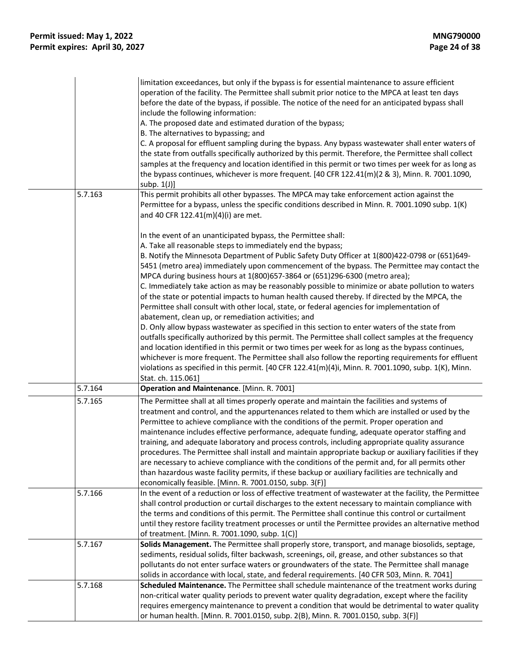|         | limitation exceedances, but only if the bypass is for essential maintenance to assure efficient<br>operation of the facility. The Permittee shall submit prior notice to the MPCA at least ten days<br>before the date of the bypass, if possible. The notice of the need for an anticipated bypass shall<br>include the following information:<br>A. The proposed date and estimated duration of the bypass;<br>B. The alternatives to bypassing; and<br>C. A proposal for effluent sampling during the bypass. Any bypass wastewater shall enter waters of<br>the state from outfalls specifically authorized by this permit. Therefore, the Permittee shall collect<br>samples at the frequency and location identified in this permit or two times per week for as long as<br>the bypass continues, whichever is more frequent. [40 CFR 122.41(m)(2 & 3), Minn. R. 7001.1090,<br>subp. $1(J)$ ]                                                                                                                                                                                                                                                                                                  |
|---------|------------------------------------------------------------------------------------------------------------------------------------------------------------------------------------------------------------------------------------------------------------------------------------------------------------------------------------------------------------------------------------------------------------------------------------------------------------------------------------------------------------------------------------------------------------------------------------------------------------------------------------------------------------------------------------------------------------------------------------------------------------------------------------------------------------------------------------------------------------------------------------------------------------------------------------------------------------------------------------------------------------------------------------------------------------------------------------------------------------------------------------------------------------------------------------------------------|
| 5.7.163 | This permit prohibits all other bypasses. The MPCA may take enforcement action against the<br>Permittee for a bypass, unless the specific conditions described in Minn. R. 7001.1090 subp. 1(K)<br>and 40 CFR 122.41(m)(4)(i) are met.<br>In the event of an unanticipated bypass, the Permittee shall:<br>A. Take all reasonable steps to immediately end the bypass;                                                                                                                                                                                                                                                                                                                                                                                                                                                                                                                                                                                                                                                                                                                                                                                                                               |
|         | B. Notify the Minnesota Department of Public Safety Duty Officer at 1(800)422-0798 or (651)649-<br>5451 (metro area) immediately upon commencement of the bypass. The Permittee may contact the<br>MPCA during business hours at 1(800)657-3864 or (651)296-6300 (metro area);<br>C. Immediately take action as may be reasonably possible to minimize or abate pollution to waters<br>of the state or potential impacts to human health caused thereby. If directed by the MPCA, the<br>Permittee shall consult with other local, state, or federal agencies for implementation of<br>abatement, clean up, or remediation activities; and<br>D. Only allow bypass wastewater as specified in this section to enter waters of the state from<br>outfalls specifically authorized by this permit. The Permittee shall collect samples at the frequency<br>and location identified in this permit or two times per week for as long as the bypass continues,<br>whichever is more frequent. The Permittee shall also follow the reporting requirements for effluent<br>violations as specified in this permit. $[40$ CFR $122.41(m)(4)$ i, Minn. R. 7001.1090, subp. 1(K), Minn.<br>Stat. ch. 115.061] |
| 5.7.164 | Operation and Maintenance. [Minn. R. 7001]                                                                                                                                                                                                                                                                                                                                                                                                                                                                                                                                                                                                                                                                                                                                                                                                                                                                                                                                                                                                                                                                                                                                                           |
| 5.7.165 | The Permittee shall at all times properly operate and maintain the facilities and systems of<br>treatment and control, and the appurtenances related to them which are installed or used by the<br>Permittee to achieve compliance with the conditions of the permit. Proper operation and<br>maintenance includes effective performance, adequate funding, adequate operator staffing and<br>training, and adequate laboratory and process controls, including appropriate quality assurance<br>procedures. The Permittee shall install and maintain appropriate backup or auxiliary facilities if they<br>are necessary to achieve compliance with the conditions of the permit and, for all permits other<br>than hazardous waste facility permits, if these backup or auxiliary facilities are technically and<br>economically feasible. [Minn. R. 7001.0150, subp. 3(F)]                                                                                                                                                                                                                                                                                                                        |
| 5.7.166 | In the event of a reduction or loss of effective treatment of wastewater at the facility, the Permittee<br>shall control production or curtail discharges to the extent necessary to maintain compliance with<br>the terms and conditions of this permit. The Permittee shall continue this control or curtailment<br>until they restore facility treatment processes or until the Permittee provides an alternative method<br>of treatment. [Minn. R. 7001.1090, subp. 1(C)]                                                                                                                                                                                                                                                                                                                                                                                                                                                                                                                                                                                                                                                                                                                        |
| 5.7.167 | Solids Management. The Permittee shall properly store, transport, and manage biosolids, septage,<br>sediments, residual solids, filter backwash, screenings, oil, grease, and other substances so that<br>pollutants do not enter surface waters or groundwaters of the state. The Permittee shall manage<br>solids in accordance with local, state, and federal requirements. [40 CFR 503, Minn. R. 7041]                                                                                                                                                                                                                                                                                                                                                                                                                                                                                                                                                                                                                                                                                                                                                                                           |
| 5.7.168 | Scheduled Maintenance. The Permittee shall schedule maintenance of the treatment works during<br>non-critical water quality periods to prevent water quality degradation, except where the facility<br>requires emergency maintenance to prevent a condition that would be detrimental to water quality<br>or human health. [Minn. R. 7001.0150, subp. 2(B), Minn. R. 7001.0150, subp. 3(F)]                                                                                                                                                                                                                                                                                                                                                                                                                                                                                                                                                                                                                                                                                                                                                                                                         |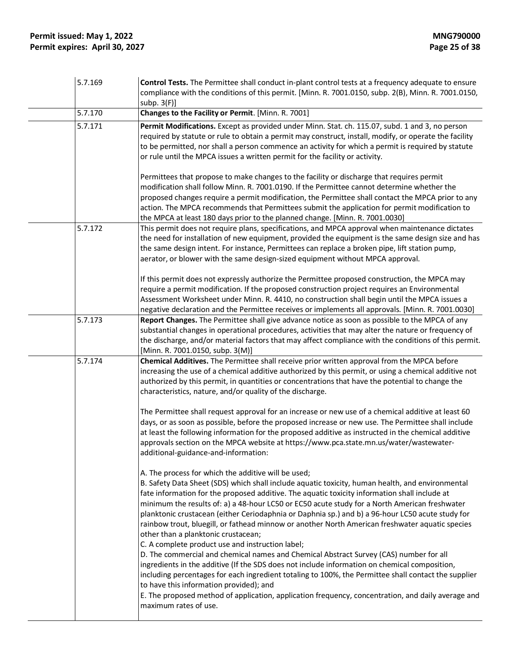| Control Tests. The Permittee shall conduct in-plant control tests at a frequency adequate to ensure<br>compliance with the conditions of this permit. [Minn. R. 7001.0150, subp. 2(B), Minn. R. 7001.0150,<br>subp. $3(F)$ ]                                                                                                                                                                                                                                                                                                                                                                                                                                                                                                                                                                                                                                                                                                                                                                                                                                                                                                             |
|------------------------------------------------------------------------------------------------------------------------------------------------------------------------------------------------------------------------------------------------------------------------------------------------------------------------------------------------------------------------------------------------------------------------------------------------------------------------------------------------------------------------------------------------------------------------------------------------------------------------------------------------------------------------------------------------------------------------------------------------------------------------------------------------------------------------------------------------------------------------------------------------------------------------------------------------------------------------------------------------------------------------------------------------------------------------------------------------------------------------------------------|
| Changes to the Facility or Permit. [Minn. R. 7001]                                                                                                                                                                                                                                                                                                                                                                                                                                                                                                                                                                                                                                                                                                                                                                                                                                                                                                                                                                                                                                                                                       |
| Permit Modifications. Except as provided under Minn. Stat. ch. 115.07, subd. 1 and 3, no person<br>required by statute or rule to obtain a permit may construct, install, modify, or operate the facility<br>to be permitted, nor shall a person commence an activity for which a permit is required by statute<br>or rule until the MPCA issues a written permit for the facility or activity.                                                                                                                                                                                                                                                                                                                                                                                                                                                                                                                                                                                                                                                                                                                                          |
| Permittees that propose to make changes to the facility or discharge that requires permit<br>modification shall follow Minn. R. 7001.0190. If the Permittee cannot determine whether the<br>proposed changes require a permit modification, the Permittee shall contact the MPCA prior to any<br>action. The MPCA recommends that Permittees submit the application for permit modification to<br>the MPCA at least 180 days prior to the planned change. [Minn. R. 7001.0030]<br>This permit does not require plans, specifications, and MPCA approval when maintenance dictates<br>the need for installation of new equipment, provided the equipment is the same design size and has<br>the same design intent. For instance, Permittees can replace a broken pipe, lift station pump,<br>aerator, or blower with the same design-sized equipment without MPCA approval.                                                                                                                                                                                                                                                              |
| If this permit does not expressly authorize the Permittee proposed construction, the MPCA may<br>require a permit modification. If the proposed construction project requires an Environmental<br>Assessment Worksheet under Minn. R. 4410, no construction shall begin until the MPCA issues a<br>negative declaration and the Permittee receives or implements all approvals. [Minn. R. 7001.0030]                                                                                                                                                                                                                                                                                                                                                                                                                                                                                                                                                                                                                                                                                                                                     |
| Report Changes. The Permittee shall give advance notice as soon as possible to the MPCA of any<br>substantial changes in operational procedures, activities that may alter the nature or frequency of<br>the discharge, and/or material factors that may affect compliance with the conditions of this permit.<br>[Minn. R. 7001.0150, subp. 3(M)]                                                                                                                                                                                                                                                                                                                                                                                                                                                                                                                                                                                                                                                                                                                                                                                       |
| Chemical Additives. The Permittee shall receive prior written approval from the MPCA before<br>increasing the use of a chemical additive authorized by this permit, or using a chemical additive not<br>authorized by this permit, in quantities or concentrations that have the potential to change the<br>characteristics, nature, and/or quality of the discharge.                                                                                                                                                                                                                                                                                                                                                                                                                                                                                                                                                                                                                                                                                                                                                                    |
| The Permittee shall request approval for an increase or new use of a chemical additive at least 60<br>days, or as soon as possible, before the proposed increase or new use. The Permittee shall include<br>at least the following information for the proposed additive as instructed in the chemical additive<br>approvals section on the MPCA website at https://www.pca.state.mn.us/water/wastewater-<br>additional-guidance-and-information:                                                                                                                                                                                                                                                                                                                                                                                                                                                                                                                                                                                                                                                                                        |
| A. The process for which the additive will be used;<br>B. Safety Data Sheet (SDS) which shall include aquatic toxicity, human health, and environmental<br>fate information for the proposed additive. The aquatic toxicity information shall include at<br>minimum the results of: a) a 48-hour LC50 or EC50 acute study for a North American freshwater<br>planktonic crustacean (either Ceriodaphnia or Daphnia sp.) and b) a 96-hour LC50 acute study for<br>rainbow trout, bluegill, or fathead minnow or another North American freshwater aquatic species<br>other than a planktonic crustacean;<br>C. A complete product use and instruction label;<br>D. The commercial and chemical names and Chemical Abstract Survey (CAS) number for all<br>ingredients in the additive (If the SDS does not include information on chemical composition,<br>including percentages for each ingredient totaling to 100%, the Permittee shall contact the supplier<br>to have this information provided); and<br>E. The proposed method of application, application frequency, concentration, and daily average and<br>maximum rates of use. |
|                                                                                                                                                                                                                                                                                                                                                                                                                                                                                                                                                                                                                                                                                                                                                                                                                                                                                                                                                                                                                                                                                                                                          |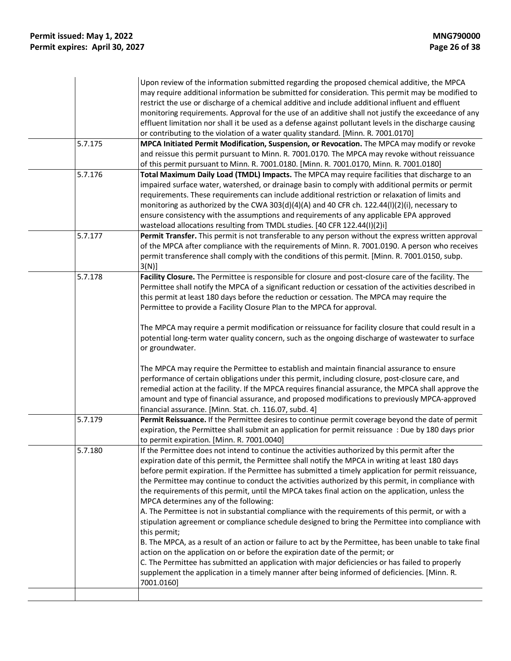|         | Upon review of the information submitted regarding the proposed chemical additive, the MPCA<br>may require additional information be submitted for consideration. This permit may be modified to<br>restrict the use or discharge of a chemical additive and include additional influent and effluent<br>monitoring requirements. Approval for the use of an additive shall not justify the exceedance of any<br>effluent limitation nor shall it be used as a defense against pollutant levels in the discharge causing<br>or contributing to the violation of a water quality standard. [Minn. R. 7001.0170]                                                                                                                                                                                                                                                                                                                                                                                                                                                                                                                                                                                         |
|---------|--------------------------------------------------------------------------------------------------------------------------------------------------------------------------------------------------------------------------------------------------------------------------------------------------------------------------------------------------------------------------------------------------------------------------------------------------------------------------------------------------------------------------------------------------------------------------------------------------------------------------------------------------------------------------------------------------------------------------------------------------------------------------------------------------------------------------------------------------------------------------------------------------------------------------------------------------------------------------------------------------------------------------------------------------------------------------------------------------------------------------------------------------------------------------------------------------------|
| 5.7.175 | MPCA Initiated Permit Modification, Suspension, or Revocation. The MPCA may modify or revoke<br>and reissue this permit pursuant to Minn. R. 7001.0170. The MPCA may revoke without reissuance<br>of this permit pursuant to Minn. R. 7001.0180. [Minn. R. 7001.0170, Minn. R. 7001.0180]                                                                                                                                                                                                                                                                                                                                                                                                                                                                                                                                                                                                                                                                                                                                                                                                                                                                                                              |
| 5.7.176 | Total Maximum Daily Load (TMDL) Impacts. The MPCA may require facilities that discharge to an<br>impaired surface water, watershed, or drainage basin to comply with additional permits or permit<br>requirements. These requirements can include additional restriction or relaxation of limits and<br>monitoring as authorized by the CWA 303(d)(4)(A) and 40 CFR ch. 122.44(l)(2)(i), necessary to<br>ensure consistency with the assumptions and requirements of any applicable EPA approved<br>wasteload allocations resulting from TMDL studies. [40 CFR 122.44(I)(2)i]                                                                                                                                                                                                                                                                                                                                                                                                                                                                                                                                                                                                                          |
| 5.7.177 | Permit Transfer. This permit is not transferable to any person without the express written approval<br>of the MPCA after compliance with the requirements of Minn. R. 7001.0190. A person who receives<br>permit transference shall comply with the conditions of this permit. [Minn. R. 7001.0150, subp.<br>$3(N)$ ]                                                                                                                                                                                                                                                                                                                                                                                                                                                                                                                                                                                                                                                                                                                                                                                                                                                                                  |
| 5.7.178 | Facility Closure. The Permittee is responsible for closure and post-closure care of the facility. The<br>Permittee shall notify the MPCA of a significant reduction or cessation of the activities described in<br>this permit at least 180 days before the reduction or cessation. The MPCA may require the<br>Permittee to provide a Facility Closure Plan to the MPCA for approval.<br>The MPCA may require a permit modification or reissuance for facility closure that could result in a<br>potential long-term water quality concern, such as the ongoing discharge of wastewater to surface<br>or groundwater.                                                                                                                                                                                                                                                                                                                                                                                                                                                                                                                                                                                 |
|         | The MPCA may require the Permittee to establish and maintain financial assurance to ensure<br>performance of certain obligations under this permit, including closure, post-closure care, and<br>remedial action at the facility. If the MPCA requires financial assurance, the MPCA shall approve the<br>amount and type of financial assurance, and proposed modifications to previously MPCA-approved<br>financial assurance. [Minn. Stat. ch. 116.07, subd. 4]                                                                                                                                                                                                                                                                                                                                                                                                                                                                                                                                                                                                                                                                                                                                     |
| 5.7.179 | Permit Reissuance. If the Permittee desires to continue permit coverage beyond the date of permit<br>expiration, the Permittee shall submit an application for permit reissuance: Due by 180 days prior<br>to permit expiration. [Minn. R. 7001.0040]                                                                                                                                                                                                                                                                                                                                                                                                                                                                                                                                                                                                                                                                                                                                                                                                                                                                                                                                                  |
| 5.7.180 | If the Permittee does not intend to continue the activities authorized by this permit after the<br>expiration date of this permit, the Permittee shall notify the MPCA in writing at least 180 days<br>before permit expiration. If the Permittee has submitted a timely application for permit reissuance,<br>the Permittee may continue to conduct the activities authorized by this permit, in compliance with<br>the requirements of this permit, until the MPCA takes final action on the application, unless the<br>MPCA determines any of the following:<br>A. The Permittee is not in substantial compliance with the requirements of this permit, or with a<br>stipulation agreement or compliance schedule designed to bring the Permittee into compliance with<br>this permit;<br>B. The MPCA, as a result of an action or failure to act by the Permittee, has been unable to take final<br>action on the application on or before the expiration date of the permit; or<br>C. The Permittee has submitted an application with major deficiencies or has failed to properly<br>supplement the application in a timely manner after being informed of deficiencies. [Minn. R.<br>7001.0160] |
|         |                                                                                                                                                                                                                                                                                                                                                                                                                                                                                                                                                                                                                                                                                                                                                                                                                                                                                                                                                                                                                                                                                                                                                                                                        |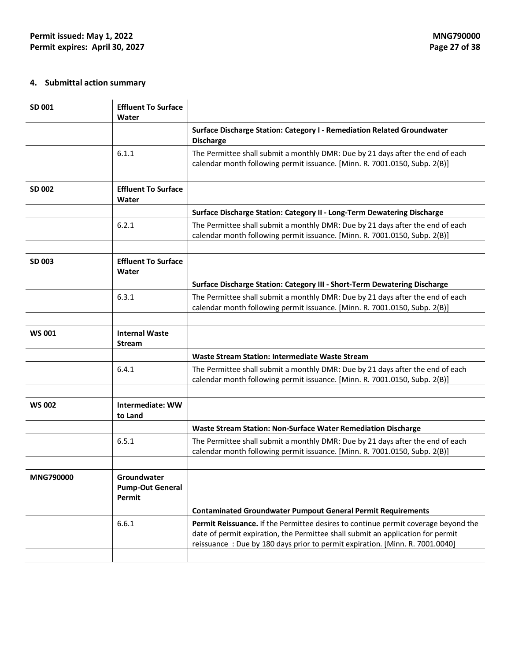#### <span id="page-26-0"></span>**4. Submittal action summary**

| SD 001           | <b>Effluent To Surface</b><br>Water    |                                                                                                                                                                       |
|------------------|----------------------------------------|-----------------------------------------------------------------------------------------------------------------------------------------------------------------------|
|                  |                                        | Surface Discharge Station: Category I - Remediation Related Groundwater<br><b>Discharge</b>                                                                           |
|                  | 6.1.1                                  | The Permittee shall submit a monthly DMR: Due by 21 days after the end of each<br>calendar month following permit issuance. [Minn. R. 7001.0150, Subp. 2(B)]          |
| SD 002           | <b>Effluent To Surface</b><br>Water    |                                                                                                                                                                       |
|                  |                                        | Surface Discharge Station: Category II - Long-Term Dewatering Discharge                                                                                               |
|                  | 6.2.1                                  | The Permittee shall submit a monthly DMR: Due by 21 days after the end of each<br>calendar month following permit issuance. [Minn. R. 7001.0150, Subp. 2(B)]          |
| <b>SD 003</b>    | <b>Effluent To Surface</b><br>Water    |                                                                                                                                                                       |
|                  |                                        | Surface Discharge Station: Category III - Short-Term Dewatering Discharge                                                                                             |
|                  | 6.3.1                                  | The Permittee shall submit a monthly DMR: Due by 21 days after the end of each<br>calendar month following permit issuance. [Minn. R. 7001.0150, Subp. 2(B)]          |
|                  |                                        |                                                                                                                                                                       |
| <b>WS 001</b>    | <b>Internal Waste</b><br><b>Stream</b> |                                                                                                                                                                       |
|                  |                                        | <b>Waste Stream Station: Intermediate Waste Stream</b>                                                                                                                |
|                  | 6.4.1                                  | The Permittee shall submit a monthly DMR: Due by 21 days after the end of each<br>calendar month following permit issuance. [Minn. R. 7001.0150, Subp. 2(B)]          |
| <b>WS 002</b>    | Intermediate: WW<br>to Land            |                                                                                                                                                                       |
|                  |                                        | <b>Waste Stream Station: Non-Surface Water Remediation Discharge</b>                                                                                                  |
|                  | 6.5.1                                  | The Permittee shall submit a monthly DMR: Due by 21 days after the end of each<br>calendar month following permit issuance. [Minn. R. 7001.0150, Subp. 2(B)]          |
|                  |                                        |                                                                                                                                                                       |
| <b>MNG790000</b> | Groundwater<br><b>Pump-Out General</b> |                                                                                                                                                                       |
|                  | Permit                                 |                                                                                                                                                                       |
|                  |                                        | <b>Contaminated Groundwater Pumpout General Permit Requirements</b>                                                                                                   |
|                  | 6.6.1                                  | Permit Reissuance. If the Permittee desires to continue permit coverage beyond the<br>date of permit expiration, the Permittee shall submit an application for permit |
|                  |                                        | reissuance : Due by 180 days prior to permit expiration. [Minn. R. 7001.0040]                                                                                         |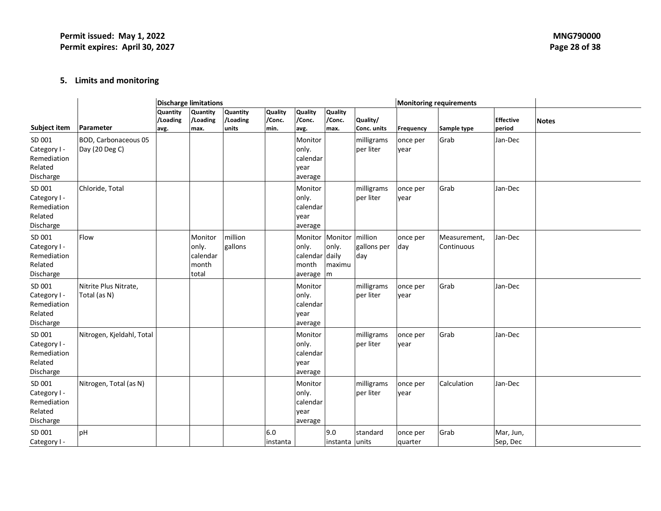## **5. Limits and monitoring**

<span id="page-27-0"></span>

|                                                               | <b>Discharge limitations</b><br><b>Monitoring requirements</b> |                              |                                                |                               |                           |                                                 |                                                             |                         |                     |                            |                            |              |
|---------------------------------------------------------------|----------------------------------------------------------------|------------------------------|------------------------------------------------|-------------------------------|---------------------------|-------------------------------------------------|-------------------------------------------------------------|-------------------------|---------------------|----------------------------|----------------------------|--------------|
| Subject item                                                  | Parameter                                                      | Quantity<br>/Loading<br>avg. | <b>Quantity</b><br>/Loading<br>max.            | Quantity<br>/Loading<br>units | Quality<br>/Conc.<br>min. | Quality<br>/Conc.<br>avg.                       | Quality<br>/Conc.<br>max.                                   | Quality/<br>Conc. units | Frequency           | Sample type                | <b>Effective</b><br>period | <b>Notes</b> |
| SD 001<br>Category I -<br>Remediation<br>Related<br>Discharge | BOD, Carbonaceous 05<br>Day (20 Deg C)                         |                              |                                                |                               |                           | Monitor<br>only.<br>calendar<br>year<br>average |                                                             | milligrams<br>per liter | once per<br>year    | Grab                       | Jan-Dec                    |              |
| SD 001<br>Category I -<br>Remediation<br>Related<br>Discharge | Chloride, Total                                                |                              |                                                |                               |                           | Monitor<br>only.<br>calendar<br>vear<br>average |                                                             | milligrams<br>per liter | once per<br>vear    | Grab                       | Jan-Dec                    |              |
| SD 001<br>Category I -<br>Remediation<br>Related<br>Discharge | Flow                                                           |                              | Monitor<br>only.<br>calendar<br>month<br>total | million<br>gallons            |                           | only.<br>calendar daily<br>month<br>average     | Monitor Monitor million<br>only.<br>maximu<br>$\mathsf{Im}$ | gallons per<br>day      | once per<br>day     | Measurement,<br>Continuous | Jan-Dec                    |              |
| SD 001<br>Category I -<br>Remediation<br>Related<br>Discharge | Nitrite Plus Nitrate,<br>Total (as N)                          |                              |                                                |                               |                           | Monitor<br>only.<br>calendar<br>vear<br>average |                                                             | milligrams<br>per liter | once per<br>year    | Grab                       | Jan-Dec                    |              |
| SD 001<br>Category I -<br>Remediation<br>Related<br>Discharge | Nitrogen, Kjeldahl, Total                                      |                              |                                                |                               |                           | Monitor<br>only.<br>calendar<br>vear<br>average |                                                             | milligrams<br>per liter | once per<br>year    | Grab                       | Jan-Dec                    |              |
| SD 001<br>Category I -<br>Remediation<br>Related<br>Discharge | Nitrogen, Total (as N)                                         |                              |                                                |                               |                           | Monitor<br>only.<br>calendar<br>vear<br>average |                                                             | milligrams<br>per liter | once per<br>year    | Calculation                | Jan-Dec                    |              |
| SD 001<br>Category I -                                        | pH                                                             |                              |                                                |                               | 6.0<br>instanta           |                                                 | 9.0<br>instanta units                                       | standard                | once per<br>quarter | Grab                       | Mar, Jun,<br>Sep, Dec      |              |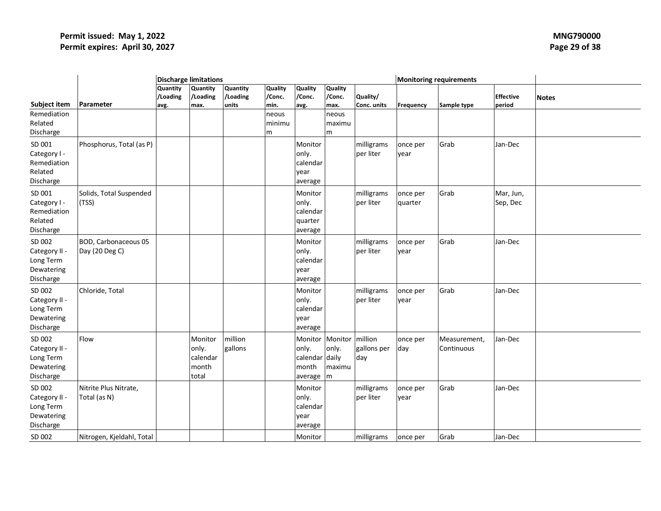|                                                                 |                                               |                              | Discharge limitations                          |                               |                                  |                                                        |                                 |                               |                     | <b>Monitoring requirements</b> |                            |              |
|-----------------------------------------------------------------|-----------------------------------------------|------------------------------|------------------------------------------------|-------------------------------|----------------------------------|--------------------------------------------------------|---------------------------------|-------------------------------|---------------------|--------------------------------|----------------------------|--------------|
| Subject item                                                    | Parameter                                     | Quantity<br>/Loading<br>avg. | <b>Quantity</b><br>/Loading<br>max.            | Quantity<br>/Loading<br>units | <b>Quality</b><br>/Conc.<br>min. | Quality<br>/Conc.<br>avg.                              | Quality<br>/Conc.<br>max.       | Quality/<br>Conc. units       | Frequency           | Sample type                    | <b>Effective</b><br>period | <b>Notes</b> |
| Remediation<br>Related<br>Discharge                             |                                               |                              |                                                |                               | neous<br>minimu<br>lm.           |                                                        | neous<br>maximu<br>m            |                               |                     |                                |                            |              |
| SD 001<br>Category I -<br>Remediation<br>Related<br>Discharge   | Phosphorus, Total (as P)                      |                              |                                                |                               |                                  | Monitor<br>only.<br>calendar<br>year<br>average        |                                 | milligrams<br>per liter       | once per<br>year    | Grab                           | Jan-Dec                    |              |
| SD 001<br>Category I -<br>Remediation<br>Related<br>Discharge   | Solids, Total Suspended<br>(TSS)              |                              |                                                |                               |                                  | Monitor<br>only.<br>calendar<br>quarter<br>average     |                                 | milligrams<br>per liter       | once per<br>quarter | Grab                           | Mar, Jun,<br>Sep, Dec      |              |
| SD 002<br>Category II -<br>Long Term<br>Dewatering<br>Discharge | <b>BOD, Carbonaceous 05</b><br>Day (20 Deg C) |                              |                                                |                               |                                  | Monitor<br>only.<br>calendar<br>year<br>average        |                                 | milligrams<br>per liter       | once per<br>year    | Grab                           | Jan-Dec                    |              |
| SD 002<br>Category II -<br>Long Term<br>Dewatering<br>Discharge | Chloride, Total                               |                              |                                                |                               |                                  | Monitor<br>only.<br>calendar<br>year<br>average        |                                 | milligrams<br>per liter       | once per<br>year    | Grab                           | Jan-Dec                    |              |
| SD 002<br>Category II -<br>Long Term<br>Dewatering<br>Discharge | Flow                                          |                              | Monitor<br>only.<br>calendar<br>month<br>total | million<br>gallons            |                                  | Monitor<br>only.<br>calendar daily<br>month<br>average | Monitor<br>only.<br>maximu<br>m | million<br>gallons per<br>day | once per<br>day     | Measurement,<br>Continuous     | Jan-Dec                    |              |
| SD 002<br>Category II -<br>Long Term<br>Dewatering<br>Discharge | Nitrite Plus Nitrate,<br>Total (as N)         |                              |                                                |                               |                                  | Monitor<br>only.<br>calendar<br>year<br>average        |                                 | milligrams<br>per liter       | once per<br>year    | Grab                           | Jan-Dec                    |              |
| SD 002                                                          | Nitrogen, Kjeldahl, Total                     |                              |                                                |                               |                                  | Monitor                                                |                                 | milligrams                    | once per            | Grab                           | Jan-Dec                    |              |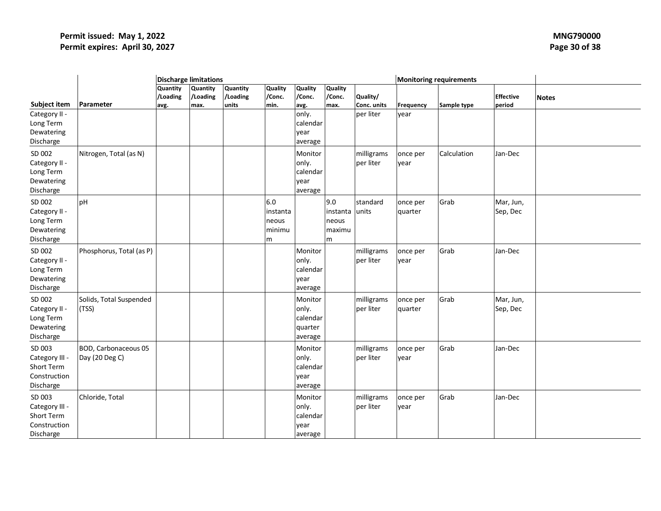|                                                                     |                                               | <b>Discharge limitations</b> |                              |                               |                                         |                                                    |                                         |                         | <b>Monitoring requirements</b> |                    |                            |              |
|---------------------------------------------------------------------|-----------------------------------------------|------------------------------|------------------------------|-------------------------------|-----------------------------------------|----------------------------------------------------|-----------------------------------------|-------------------------|--------------------------------|--------------------|----------------------------|--------------|
| Subject item                                                        | Parameter                                     | Quantity<br>/Loading<br>avg. | Quantity<br>/Loading<br>max. | Quantity<br>/Loading<br>units | Quality<br>/Conc.<br>min.               | Quality<br>/Conc.<br>avg.                          | Quality<br>/Conc.<br>max.               | Quality/<br>Conc. units | Frequency                      | <b>Sample type</b> | <b>Effective</b><br>period | <b>Notes</b> |
| Category II -<br>Long Term<br>Dewatering<br>Discharge               |                                               |                              |                              |                               |                                         | only.<br>calendar<br>year<br>average               |                                         | per liter               | year                           |                    |                            |              |
| SD 002<br>Category II -<br>Long Term<br>Dewatering<br>Discharge     | Nitrogen, Total (as N)                        |                              |                              |                               |                                         | Monitor<br>only.<br>calendar<br>year<br>average    |                                         | milligrams<br>per liter | once per<br>year               | Calculation        | Jan-Dec                    |              |
| SD 002<br>Category II -<br>Long Term<br>Dewatering<br>Discharge     | pH                                            |                              |                              |                               | 6.0<br>instanta<br>neous<br>minimu<br>m |                                                    | 9.0<br>instanta<br>neous<br>maximu<br>m | standard<br>units       | once per<br>quarter            | Grab               | Mar, Jun,<br>Sep, Dec      |              |
| SD 002<br>Category II -<br>Long Term<br>Dewatering<br>Discharge     | Phosphorus, Total (as P)                      |                              |                              |                               |                                         | Monitor<br>only.<br>calendar<br>year<br>average    |                                         | milligrams<br>per liter | once per<br>year               | Grab               | Jan-Dec                    |              |
| SD 002<br>Category II -<br>Long Term<br>Dewatering<br>Discharge     | Solids, Total Suspended<br>(TSS)              |                              |                              |                               |                                         | Monitor<br>only.<br>calendar<br>quarter<br>average |                                         | milligrams<br>per liter | once per<br>quarter            | Grab               | Mar, Jun,<br>Sep, Dec      |              |
| SD 003<br>Category III -<br>Short Term<br>Construction<br>Discharge | <b>BOD, Carbonaceous 05</b><br>Day (20 Deg C) |                              |                              |                               |                                         | Monitor<br>only.<br>calendar<br>year<br>average    |                                         | milligrams<br>per liter | once per<br>year               | Grab               | Jan-Dec                    |              |
| SD 003<br>Category III -<br>Short Term<br>Construction<br>Discharge | Chloride, Total                               |                              |                              |                               |                                         | Monitor<br>only.<br>calendar<br>year<br>average    |                                         | milligrams<br>per liter | once per<br>year               | Grab               | Jan-Dec                    |              |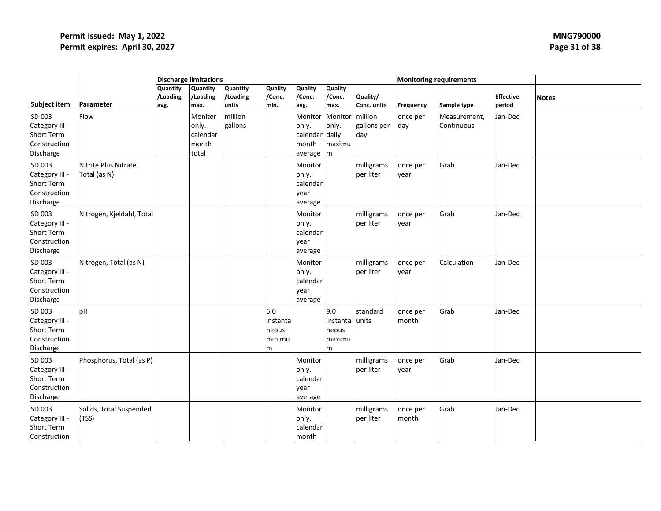|                                                                            |                                       | <b>Discharge limitations</b> |                                                |                                      |                                           |                                                        |                                               |                               | <b>Monitoring requirements</b> |                            |                            |              |
|----------------------------------------------------------------------------|---------------------------------------|------------------------------|------------------------------------------------|--------------------------------------|-------------------------------------------|--------------------------------------------------------|-----------------------------------------------|-------------------------------|--------------------------------|----------------------------|----------------------------|--------------|
| Subject item                                                               | Parameter                             | Quantity<br>/Loading<br>avg. | Quantity<br>/Loading<br>max.                   | <b>Quantity</b><br>/Loading<br>units | <b>Quality</b><br>/Conc.<br>min.          | Quality<br>/Conc.<br>avg.                              | Quality<br>/Conc.<br>max.                     | Quality/<br>Conc. units       | <b>Frequency</b>               | Sample type                | <b>Effective</b><br>period | <b>Notes</b> |
| SD 003<br>Category III -<br>Short Term<br>Construction<br>Discharge        | Flow                                  |                              | Monitor<br>only.<br>calendar<br>month<br>total | million<br>gallons                   |                                           | Monitor<br>only.<br>calendar daily<br>month<br>average | Monitor<br>only.<br>maximu<br>m               | million<br>gallons per<br>day | once per<br>day                | Measurement,<br>Continuous | Jan-Dec                    |              |
| SD 003<br>Category III -<br>Short Term<br>Construction<br>Discharge        | Nitrite Plus Nitrate,<br>Total (as N) |                              |                                                |                                      |                                           | Monitor<br>only.<br>calendar<br>year<br>average        |                                               | milligrams<br>per liter       | once per<br>year               | Grab                       | Jan-Dec                    |              |
| SD 003<br>Category III -<br>Short Term<br>Construction<br>Discharge        | Nitrogen, Kjeldahl, Total             |                              |                                                |                                      |                                           | Monitor<br>only.<br>calendar<br>year<br>average        |                                               | milligrams<br>per liter       | once per<br>year               | Grab                       | Jan-Dec                    |              |
| SD 003<br>Category III -<br>Short Term<br>Construction<br>Discharge        | Nitrogen, Total (as N)                |                              |                                                |                                      |                                           | Monitor<br>only.<br>calendar<br>vear<br>average        |                                               | milligrams<br>per liter       | once per<br>year               | Calculation                | Jan-Dec                    |              |
| SD 003<br>Category III -<br><b>Short Term</b><br>Construction<br>Discharge | pH                                    |                              |                                                |                                      | 6.0<br>instanta<br>neous<br>minimu<br>lm. |                                                        | 9.0<br>instanta units<br>neous<br>maximu<br>m | standard                      | once per<br>month              | Grab                       | Jan-Dec                    |              |
| SD 003<br>Category III -<br>Short Term<br>Construction<br>Discharge        | Phosphorus, Total (as P)              |                              |                                                |                                      |                                           | Monitor<br>only.<br>calendar<br>year<br>average        |                                               | milligrams<br>per liter       | once per<br>year               | Grab                       | Jan-Dec                    |              |
| SD 003<br>Category III -<br>Short Term<br>Construction                     | Solids, Total Suspended<br>(TSS)      |                              |                                                |                                      |                                           | Monitor<br>only.<br>calendar<br>month                  |                                               | milligrams<br>per liter       | once per<br>month              | Grab                       | Jan-Dec                    |              |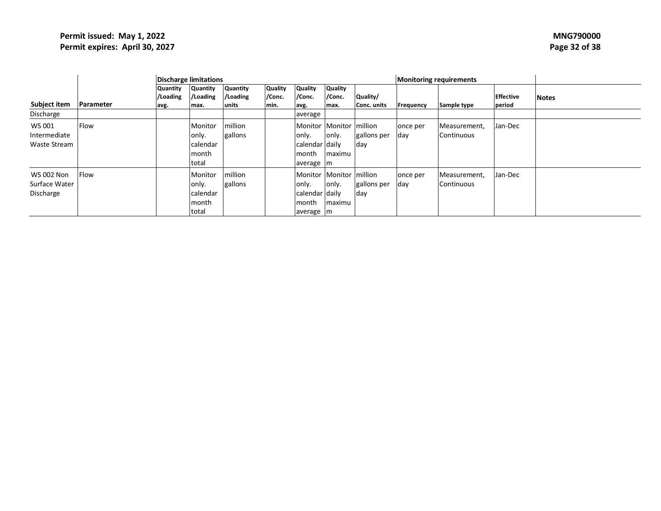|                                                 | Discharge limitations |                             |                                                |                      |                          |                                                                                  |                   |                               |                  | <b>Monitoring requirements</b>    |                  |              |
|-------------------------------------------------|-----------------------|-----------------------------|------------------------------------------------|----------------------|--------------------------|----------------------------------------------------------------------------------|-------------------|-------------------------------|------------------|-----------------------------------|------------------|--------------|
|                                                 |                       | <b>Quantity</b><br>/Loading | Quantity<br>/Loading                           | Quantity<br>/Loading | <b>Quality</b><br>/Conc. | Quality<br>/Conc.                                                                | Quality<br>/Conc. | Quality/                      |                  |                                   | <b>Effective</b> | <b>Notes</b> |
| Subject item                                    | Parameter             | avg.                        | max.                                           | units                | min.                     | avg.                                                                             | max.              | Conc. units                   | Frequency        | Sample type                       | period           |              |
| Discharge                                       |                       |                             |                                                |                      |                          | average                                                                          |                   |                               |                  |                                   |                  |              |
| WS 001<br>Intermediate<br>Waste Stream          | Flow                  |                             | Monitor<br>only.<br>calendar<br>month<br>total | million<br>gallons   |                          | Monitor Monitor million<br>only.<br>calendar daily<br><b>Imonth</b><br>average m | lonly.<br>maximu  | gallons per<br>day            | once per<br>lday | Measurement,<br><b>Continuous</b> | Jan-Dec          |              |
| <b>WS 002 Non</b><br>Surface Water<br>Discharge | <b>IFlow</b>          |                             | Monitor<br>only.<br>calendar<br>month<br>total | million<br>gallons   |                          | Monitor Monitor<br>only.<br>Icalendar daily<br>month<br>average m                | lonly.<br>maximu  | million<br>gallons per<br>day | once per<br>lday | Measurement,<br><b>Continuous</b> | Jan-Dec          |              |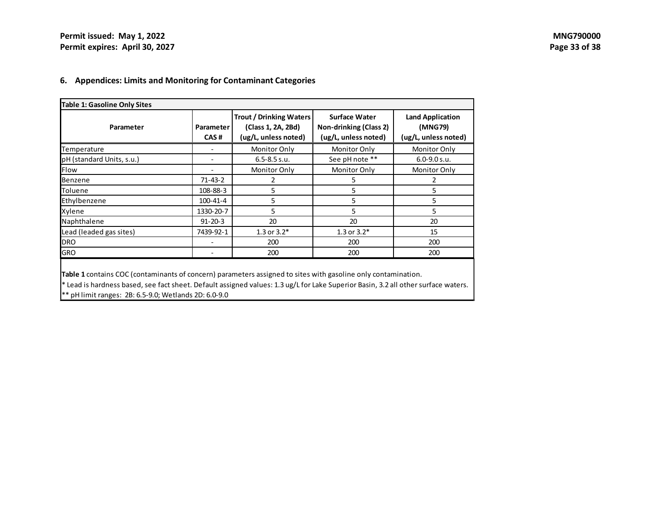#### **6. Appendices: Limits and Monitoring for Contaminant Categories**

| Parameter                 | Parameter      | <b>Trout / Drinking Waters</b><br>(Class 1, 2A, 2Bd) | Surface Water<br>Non-drinking (Class 2) | <b>Land Application</b><br>(MNG79) |
|---------------------------|----------------|------------------------------------------------------|-----------------------------------------|------------------------------------|
|                           | CAS#           | (ug/L, unless noted)                                 | (ug/L, unless noted)                    | (ug/L, unless noted)               |
| Temperature               |                | Monitor Only                                         | Monitor Only                            | Monitor Only                       |
| pH (standard Units, s.u.) |                | $6.5 - 8.5$ s.u.                                     | See pH note **                          | $6.0 - 9.0 s.u.$                   |
| Flow                      |                | Monitor Only                                         | Monitor Only                            | Monitor Only                       |
| Benzene                   | $71-43-2$      | 2                                                    |                                         |                                    |
| Toluene                   | 108-88-3       | 5                                                    | 5                                       | 5                                  |
| Ethylbenzene              | $100 - 41 - 4$ | 5                                                    | 5                                       | 5                                  |
| Xylene                    | 1330-20-7      | 5                                                    | 5                                       | 5.                                 |
| Naphthalene               | $91 - 20 - 3$  | 20                                                   | 20                                      | 20                                 |
| Lead (leaded gas sites)   | 7439-92-1      | $1.3$ or $3.2*$                                      | $1.3$ or $3.2*$                         | 15                                 |
| <b>DRO</b>                |                | 200                                                  | 200                                     | 200                                |
| <b>GRO</b>                |                | 200                                                  | 200                                     | 200                                |

<span id="page-32-0"></span>\* Lead is hardness based, see fact sheet. Default assigned values: 1.3 ug/L for Lake Superior Basin, 3.2 all other surface waters. \*\* pH limit ranges: 2B: 6.5-9.0; Wetlands 2D: 6.0-9.0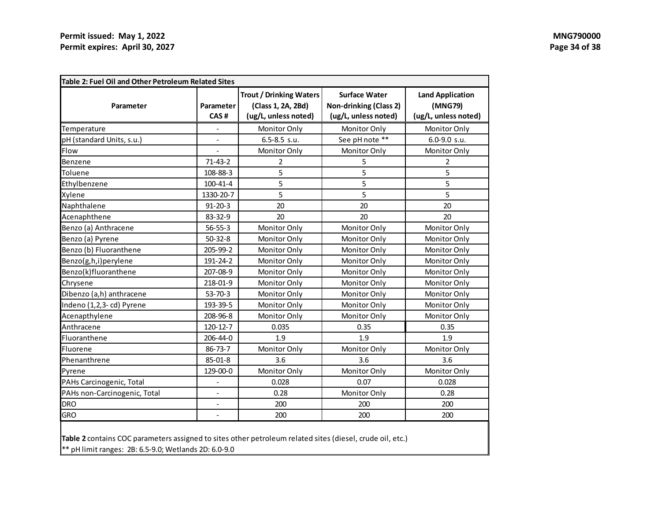|                              |                          | <b>Trout / Drinking Waters</b> | <b>Surface Water</b>          | <b>Land Application</b> |
|------------------------------|--------------------------|--------------------------------|-------------------------------|-------------------------|
| Parameter                    | Parameter                | (Class 1, 2A, 2Bd)             | <b>Non-drinking (Class 2)</b> | (MNG79)                 |
|                              | CAS#                     | (ug/L, unless noted)           | (ug/L, unless noted)          | (ug/L, unless noted)    |
| Temperature                  |                          | Monitor Only                   | Monitor Only                  | Monitor Only            |
| pH (standard Units, s.u.)    |                          | $6.5 - 8.5$ s.u.               | See pH note **                | 6.0-9.0 s.u.            |
| Flow                         |                          | Monitor Only                   | Monitor Only                  | Monitor Only            |
| Benzene                      | $71 - 43 - 2$            | 2                              | 5                             | 2                       |
| Toluene                      | 108-88-3                 | 5                              | 5                             | 5                       |
| Ethylbenzene                 | $100 - 41 - 4$           | 5                              | 5                             | 5                       |
| Xylene                       | 1330-20-7                | 5                              | 5                             | 5                       |
| Naphthalene                  | $91 - 20 - 3$            | 20                             | 20                            | 20                      |
| Acenaphthene                 | 83-32-9                  | 20                             | 20                            | 20                      |
| Benzo (a) Anthracene         | $56 - 55 - 3$            | Monitor Only                   | Monitor Only                  | Monitor Only            |
| Benzo (a) Pyrene             | $50 - 32 - 8$            | Monitor Only                   | Monitor Only                  | Monitor Only            |
| Benzo (b) Fluoranthene       | 205-99-2                 | Monitor Only                   | Monitor Only                  | Monitor Only            |
| Benzo(g,h,i)perylene         | 191-24-2                 | Monitor Only                   | Monitor Only                  | Monitor Only            |
| Benzo(k)fluoranthene         | 207-08-9                 | Monitor Only                   | Monitor Only                  | Monitor Only            |
| Chrysene                     | 218-01-9                 | Monitor Only                   | Monitor Only                  | Monitor Only            |
| Dibenzo (a,h) anthracene     | $53 - 70 - 3$            | Monitor Only                   | Monitor Only                  | Monitor Only            |
| Indeno (1,2,3- cd) Pyrene    | 193-39-5                 | Monitor Only                   | Monitor Only                  | Monitor Only            |
| Acenapthylene                | 208-96-8                 | Monitor Only                   | Monitor Only                  | Monitor Only            |
| Anthracene                   | 120-12-7                 | 0.035                          | 0.35                          | 0.35                    |
| Fluoranthene                 | 206-44-0                 | 1.9                            | 1.9                           | 1.9                     |
| Fluorene                     | 86-73-7                  | Monitor Only                   | Monitor Only                  | Monitor Only            |
| Phenanthrene                 | $85 - 01 - 8$            | 3.6                            | 3.6                           | 3.6                     |
| Pyrene                       | 129-00-0                 | Monitor Only                   | Monitor Only                  | Monitor Only            |
| PAHs Carcinogenic, Total     |                          | 0.028                          | 0.07                          | 0.028                   |
| PAHs non-Carcinogenic, Total | $\overline{a}$           | 0.28                           | Monitor Only                  | 0.28                    |
| <b>DRO</b>                   | $\blacksquare$           | 200                            | 200                           | 200                     |
| <b>GRO</b>                   | $\overline{\phantom{a}}$ | 200                            | 200                           | 200                     |

**Table 2** contains COC parameters assigned to sites other petroleum related sites (diesel, crude oil, etc.) \*\* pH limit ranges: 2B: 6.5-9.0; Wetlands 2D: 6.0-9.0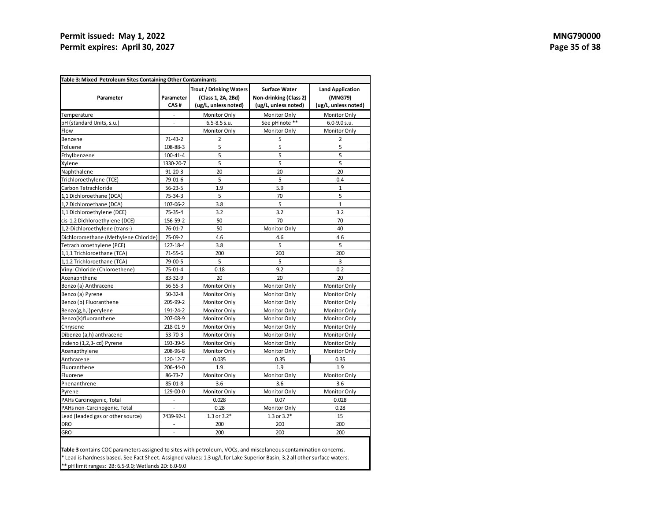| <b>MNG790000</b> |  |  |
|------------------|--|--|
| Page 35 of 38    |  |  |

| Table 3: Mixed Petroleum Sites Containing Other Contaminants                                                                                                                                                                                   |                          |                                                                              |                                                                 |                                                            |  |  |  |  |  |
|------------------------------------------------------------------------------------------------------------------------------------------------------------------------------------------------------------------------------------------------|--------------------------|------------------------------------------------------------------------------|-----------------------------------------------------------------|------------------------------------------------------------|--|--|--|--|--|
| Parameter                                                                                                                                                                                                                                      | Parameter<br>CAS#        | <b>Trout / Drinking Waters</b><br>(Class 1, 2A, 2Bd)<br>(ug/L, unless noted) | Surface Water<br>Non-drinking (Class 2)<br>(ug/L, unless noted) | <b>Land Application</b><br>(MNG79)<br>(ug/L, unless noted) |  |  |  |  |  |
| Temperature                                                                                                                                                                                                                                    | $\sim$                   | Monitor Only                                                                 | Monitor Only                                                    | Monitor Only                                               |  |  |  |  |  |
| pH (standard Units, s.u.)                                                                                                                                                                                                                      | ÷.                       | $6.5 - 8.5$ s.u.                                                             | See pH note **                                                  | $6.0 - 9.0 s.u.$                                           |  |  |  |  |  |
| Flow                                                                                                                                                                                                                                           |                          | Monitor Only                                                                 | Monitor Only                                                    | Monitor Only                                               |  |  |  |  |  |
| Benzene                                                                                                                                                                                                                                        | $71 - 43 - 2$            | 2                                                                            | 5                                                               | $\overline{2}$                                             |  |  |  |  |  |
| Toluene                                                                                                                                                                                                                                        | 108-88-3                 | 5                                                                            | 5                                                               | 5                                                          |  |  |  |  |  |
| Ethylbenzene                                                                                                                                                                                                                                   | $100 - 41 - 4$           | 5                                                                            | 5                                                               | 5                                                          |  |  |  |  |  |
| Xylene                                                                                                                                                                                                                                         | 1330-20-7                | 5                                                                            | 5                                                               | 5                                                          |  |  |  |  |  |
| Naphthalene                                                                                                                                                                                                                                    | $91 - 20 - 3$            | 20                                                                           | 20                                                              | 20                                                         |  |  |  |  |  |
| Trichloroethylene (TCE)                                                                                                                                                                                                                        | 79-01-6                  | 5                                                                            | 5                                                               | 0.4                                                        |  |  |  |  |  |
| Carbon Tetrachloride                                                                                                                                                                                                                           | $56 - 23 - 5$            | 1.9                                                                          | 5.9                                                             | $\mathbf{1}$                                               |  |  |  |  |  |
| 1,1 Dichloroethane (DCA)                                                                                                                                                                                                                       | $75 - 34 - 3$            | 5                                                                            | 70                                                              | 5                                                          |  |  |  |  |  |
| 1,2 Dichloroethane (DCA)                                                                                                                                                                                                                       | 107-06-2                 | 3.8                                                                          | 5                                                               | $\mathbf{1}$                                               |  |  |  |  |  |
| 1,1 Dichloroethylene (DCE)                                                                                                                                                                                                                     | $75 - 35 - 4$            | 3.2                                                                          | 3.2                                                             | 3.2                                                        |  |  |  |  |  |
| cis-1,2 Dichloroethylene (DCE)                                                                                                                                                                                                                 | 156-59-2                 | 50                                                                           | 70                                                              | 70                                                         |  |  |  |  |  |
| 1,2-Dichloroethylene (trans-)                                                                                                                                                                                                                  | $76 - 01 - 7$            | 50                                                                           | Monitor Only                                                    | 40                                                         |  |  |  |  |  |
| Dichloromethane (Methylene Chloride)                                                                                                                                                                                                           | 75-09-2                  | 4.6                                                                          | 4.6                                                             | 4.6                                                        |  |  |  |  |  |
| Tetrachloroethylene (PCE)                                                                                                                                                                                                                      | 127-18-4                 | 3.8                                                                          | 5                                                               | 5                                                          |  |  |  |  |  |
| 1,1,1 Trichloroethane (TCA)                                                                                                                                                                                                                    | $71 - 55 - 6$            | 200                                                                          | 200                                                             | 200                                                        |  |  |  |  |  |
| 1,1,2 Trichloroethane (TCA)                                                                                                                                                                                                                    | 79-00-5                  | 5                                                                            | 5                                                               | 3                                                          |  |  |  |  |  |
| Vinyl Chloride (Chloroethene)                                                                                                                                                                                                                  | $75 - 01 - 4$            | 0.18                                                                         | 9.2                                                             | 0.2                                                        |  |  |  |  |  |
| Acenaphthene                                                                                                                                                                                                                                   | 83-32-9                  | 20                                                                           | 20                                                              | 20                                                         |  |  |  |  |  |
| Benzo (a) Anthracene                                                                                                                                                                                                                           | $56 - 55 - 3$            | Monitor Only                                                                 | Monitor Only                                                    | Monitor Only                                               |  |  |  |  |  |
| Benzo (a) Pyrene                                                                                                                                                                                                                               | $50 - 32 - 8$            | Monitor Only                                                                 | Monitor Only                                                    | Monitor Only                                               |  |  |  |  |  |
| Benzo (b) Fluoranthene                                                                                                                                                                                                                         | 205-99-2                 | Monitor Only                                                                 | Monitor Only                                                    | Monitor Only                                               |  |  |  |  |  |
| Benzo(g,h,i)perylene                                                                                                                                                                                                                           | 191-24-2                 | Monitor Only                                                                 | Monitor Only                                                    | Monitor Only                                               |  |  |  |  |  |
| Benzo(k)fluoranthene                                                                                                                                                                                                                           | 207-08-9                 | Monitor Only                                                                 | Monitor Only                                                    | Monitor Only                                               |  |  |  |  |  |
| Chrysene                                                                                                                                                                                                                                       | 218-01-9                 | Monitor Only                                                                 | Monitor Only                                                    | Monitor Only                                               |  |  |  |  |  |
| Dibenzo (a,h) anthracene                                                                                                                                                                                                                       | $53 - 70 - 3$            | Monitor Only                                                                 | Monitor Only                                                    | Monitor Only                                               |  |  |  |  |  |
| Indeno (1,2,3- cd) Pyrene                                                                                                                                                                                                                      | 193-39-5                 | Monitor Only                                                                 | Monitor Only                                                    | Monitor Only                                               |  |  |  |  |  |
| Acenapthylene                                                                                                                                                                                                                                  | 208-96-8                 | Monitor Only                                                                 | Monitor Only                                                    | Monitor Only                                               |  |  |  |  |  |
| Anthracene                                                                                                                                                                                                                                     | 120-12-7                 | 0.035                                                                        | 0.35                                                            | 0.35                                                       |  |  |  |  |  |
| Fluoranthene                                                                                                                                                                                                                                   | 206-44-0                 | 1.9                                                                          | 1.9                                                             | 1.9                                                        |  |  |  |  |  |
| Fluorene                                                                                                                                                                                                                                       | 86-73-7                  | Monitor Only                                                                 | Monitor Only                                                    | Monitor Only                                               |  |  |  |  |  |
| Phenanthrene                                                                                                                                                                                                                                   | $85 - 01 - 8$            | 3.6                                                                          | 3.6                                                             | 3.6                                                        |  |  |  |  |  |
| Pyrene                                                                                                                                                                                                                                         | 129-00-0                 | Monitor Only                                                                 | Monitor Only                                                    | Monitor Only                                               |  |  |  |  |  |
| PAHs Carcinogenic, Total                                                                                                                                                                                                                       |                          | 0.028                                                                        | 0.07                                                            | 0.028                                                      |  |  |  |  |  |
| PAHs non-Carcinogenic, Total                                                                                                                                                                                                                   | $\overline{\phantom{a}}$ | 0.28                                                                         | Monitor Only                                                    | 0.28                                                       |  |  |  |  |  |
| Lead (leaded gas or other source)                                                                                                                                                                                                              | 7439-92-1                | $1.3$ or $3.2*$                                                              | 1.3 or $3.2*$                                                   | 15                                                         |  |  |  |  |  |
| dro                                                                                                                                                                                                                                            | ÷,                       | 200                                                                          | 200                                                             | 200                                                        |  |  |  |  |  |
| GRO                                                                                                                                                                                                                                            | ÷.                       | 200                                                                          | 200                                                             | 200                                                        |  |  |  |  |  |
| Table 3 contains COC parameters assigned to sites with petroleum, VOCs, and miscelaneous contamination concerns.<br>* Lead is hardness based. See Fact Sheet. Assigned values: 1.3 ug/L for Lake Superior Basin, 3.2 all other surface waters. |                          |                                                                              |                                                                 |                                                            |  |  |  |  |  |

\*\* pH limit ranges: 2B: 6.5-9.0; Wetlands 2D: 6.0-9.0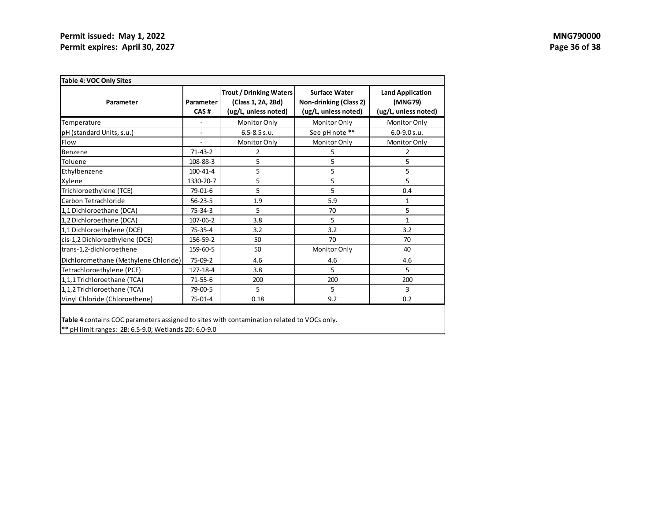| Parameter<br>CAS# | <b>Trout / Drinking Waters</b><br>(Class 1, 2A, 2Bd)<br>(ug/L, unless noted) | <b>Surface Water</b><br>Non-drinking (Class 2)<br>(ug/L, unless noted) | <b>Land Application</b><br>(MNG79)<br>(ug/L, unless noted) |
|-------------------|------------------------------------------------------------------------------|------------------------------------------------------------------------|------------------------------------------------------------|
|                   | Monitor Only                                                                 | Monitor Only                                                           | Monitor Only                                               |
|                   | $6.5 - 8.5$ s.u.                                                             | See pH note **                                                         | $6.0 - 9.0 s.u.$                                           |
|                   | Monitor Only                                                                 | Monitor Only                                                           | Monitor Only                                               |
| $71 - 43 - 2$     | 2                                                                            | 5                                                                      | 2                                                          |
| 108-88-3          | 5                                                                            | 5                                                                      | 5                                                          |
| 100-41-4          | 5                                                                            | 5                                                                      | 5                                                          |
| 1330-20-7         | 5                                                                            | 5                                                                      | 5                                                          |
| 79-01-6           | 5                                                                            | 5                                                                      | 0.4                                                        |
| $56 - 23 - 5$     | 1.9                                                                          | 5.9                                                                    | 1                                                          |
| $75 - 34 - 3$     | 5                                                                            | 70                                                                     | 5                                                          |
| 107-06-2          | 3.8                                                                          | 5                                                                      | $\mathbf{1}$                                               |
| 75-35-4           | 3.2                                                                          | 3.2                                                                    | 3.2                                                        |
| 156-59-2          | 50                                                                           | 70                                                                     | 70                                                         |
| 159-60-5          | 50                                                                           | Monitor Only                                                           | 40                                                         |
| 75-09-2           | 4.6                                                                          | 4.6                                                                    | 4.6                                                        |
| 127-18-4          | 3.8                                                                          | 5                                                                      | 5                                                          |
| $71 - 55 - 6$     | 200                                                                          | 200                                                                    | 200                                                        |
| 79-00-5           | 5                                                                            | 5                                                                      | 3                                                          |
| $75-01-4$         | 0.18                                                                         | 9.2                                                                    | 0.2                                                        |
|                   |                                                                              |                                                                        |                                                            |

**Table 4** contains COC parameters assigned to sites with contamination related to VOCs only. \*\* pH limit ranges: 2B: 6.5-9.0; Wetlands 2D: 6.0-9.0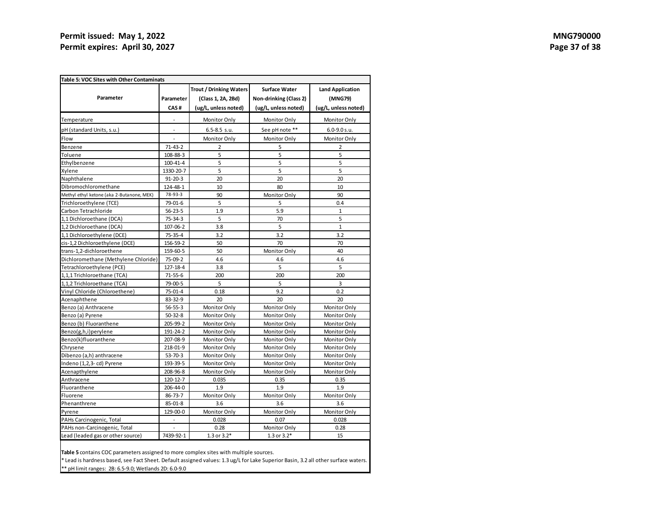| Table 5: VOC Sites with Other Contaminats |                          |                                |                        |                         |  |  |  |  |  |  |
|-------------------------------------------|--------------------------|--------------------------------|------------------------|-------------------------|--|--|--|--|--|--|
|                                           |                          | <b>Trout / Drinking Waters</b> | Surface Water          | <b>Land Application</b> |  |  |  |  |  |  |
| Parameter                                 | Parameter                | (Class 1, 2A, 2Bd)             | Non-drinking (Class 2) | (MNG79)                 |  |  |  |  |  |  |
|                                           | CAS#                     | (ug/L, unless noted)           | (ug/L, unless noted)   | (ug/L, unless noted)    |  |  |  |  |  |  |
| Temperature                               | $\overline{\phantom{a}}$ | Monitor Only                   | Monitor Only           | Monitor Only            |  |  |  |  |  |  |
| pH (standard Units, s.u.)                 |                          | $6.5 - 8.5$ s.u.               | See pH note **         | 6.0-9.0 s.u.            |  |  |  |  |  |  |
| Flow                                      |                          | Monitor Only                   | Monitor Only           | <b>Monitor Only</b>     |  |  |  |  |  |  |
| Benzene                                   | $71 - 43 - 2$            | 2                              | 5                      | 2                       |  |  |  |  |  |  |
| Toluene                                   | 108-88-3                 | 5                              | 5                      | 5                       |  |  |  |  |  |  |
| Ethylbenzene                              | $100 - 41 - 4$           | 5                              | 5                      | 5                       |  |  |  |  |  |  |
| Xylene                                    | 1330-20-7                | 5                              | 5                      | 5                       |  |  |  |  |  |  |
| Naphthalene                               | $91 - 20 - 3$            | 20                             | 20                     | 20                      |  |  |  |  |  |  |
| Dibromochloromethane                      | 124-48-1                 | 10                             | 80                     | 10                      |  |  |  |  |  |  |
| Methyl ethyl ketone (aka 2-Butanone, MEK) | 78-93-3                  | 90                             | Monitor Only           | 90                      |  |  |  |  |  |  |
| Trichloroethylene (TCE)                   | 79-01-6                  | 5                              | 5                      | 0.4                     |  |  |  |  |  |  |
| Carbon Tetrachloride                      | $56 - 23 - 5$            | 1.9                            | 5.9                    | $1\,$                   |  |  |  |  |  |  |
| 1,1 Dichloroethane (DCA)                  | $75 - 34 - 3$            | 5                              | 70                     | 5                       |  |  |  |  |  |  |
| 1,2 Dichloroethane (DCA)                  | 107-06-2                 | 3.8                            | 5                      | $\mathbf{1}$            |  |  |  |  |  |  |
| 1,1 Dichloroethylene (DCE)                | $75 - 35 - 4$            | 3.2                            | 3.2                    | 3.2                     |  |  |  |  |  |  |
| cis-1,2 Dichloroethylene (DCE)            | 156-59-2                 | 50                             | 70                     | 70                      |  |  |  |  |  |  |
| trans-1,2-dichloroethene                  | 159-60-5                 | 50                             | Monitor Only           | 40                      |  |  |  |  |  |  |
| Dichloromethane (Methylene Chloride)      | 75-09-2                  | 4.6                            | 4.6                    | 4.6                     |  |  |  |  |  |  |
| Tetrachloroethylene (PCE)                 | 127-18-4                 | 3.8                            | 5                      | 5                       |  |  |  |  |  |  |
| 1,1,1 Trichloroethane (TCA)               | $71 - 55 - 6$            | 200                            | 200                    | 200                     |  |  |  |  |  |  |
| 1,1,2 Trichloroethane (TCA)               | 79-00-5                  | 5                              | 5                      | $\overline{3}$          |  |  |  |  |  |  |
| Vinyl Chloride (Chloroethene)             | 75-01-4                  | 0.18                           | 9.2                    | 0.2                     |  |  |  |  |  |  |
| Acenaphthene                              | 83-32-9                  | 20                             | 20                     | 20                      |  |  |  |  |  |  |
| Benzo (a) Anthracene                      | $56 - 55 - 3$            | Monitor Only                   | Monitor Only           | Monitor Only            |  |  |  |  |  |  |
| Benzo (a) Pyrene                          | $50 - 32 - 8$            | Monitor Only                   | Monitor Only           | Monitor Only            |  |  |  |  |  |  |
| Benzo (b) Fluoranthene                    | 205-99-2                 | Monitor Only                   | Monitor Only           | <b>Monitor Only</b>     |  |  |  |  |  |  |
| Benzo(g,h,i)perylene                      | 191-24-2                 | Monitor Only                   | Monitor Only           | Monitor Only            |  |  |  |  |  |  |
| Benzo(k)fluoranthene                      | 207-08-9                 | Monitor Only                   | Monitor Only           | Monitor Only            |  |  |  |  |  |  |
| Chrysene                                  | 218-01-9                 | Monitor Only                   | Monitor Only           | Monitor Only            |  |  |  |  |  |  |
| Dibenzo (a,h) anthracene                  | $53 - 70 - 3$            | Monitor Only                   | Monitor Only           | Monitor Only            |  |  |  |  |  |  |
| Indeno (1,2,3-cd) Pyrene                  | 193-39-5                 | Monitor Only                   | Monitor Only           | Monitor Only            |  |  |  |  |  |  |
| Acenapthylene                             | 208-96-8                 | Monitor Only                   | Monitor Only           | Monitor Only            |  |  |  |  |  |  |
| Anthracene                                | 120-12-7                 | 0.035                          | 0.35                   | 0.35                    |  |  |  |  |  |  |
| Fluoranthene                              | 206-44-0                 | 1.9                            | 1.9                    | 1.9                     |  |  |  |  |  |  |
| Fluorene                                  | 86-73-7                  | Monitor Only                   | Monitor Only           | Monitor Only            |  |  |  |  |  |  |
| Phenanthrene                              | 85-01-8                  | 3.6                            | 3.6                    | 3.6                     |  |  |  |  |  |  |
| Pyrene                                    | 129-00-0                 | Monitor Only                   | Monitor Only           | Monitor Only            |  |  |  |  |  |  |
| PAHs Carcinogenic, Total                  | $\blacksquare$           | 0.028                          | 0.07                   | 0.028                   |  |  |  |  |  |  |
| PAHs non-Carcinogenic, Total              | ٠                        | 0.28                           | Monitor Only           | 0.28                    |  |  |  |  |  |  |
| Lead (leaded gas or other source)         | 7439-92-1                | $1.3$ or $3.2*$                | $1.3$ or $3.2*$        | 15                      |  |  |  |  |  |  |

**Table 5** contains COC parameters assigned to more complex sites with multiple sources.

\* Lead is hardness based, see Fact Sheet. Default assigned values: 1.3 ug/L for Lake Superior Basin, 3.2 all other surface waters. \*\* pH limit ranges: 2B: 6.5-9.0; Wetlands 2D: 6.0-9.0